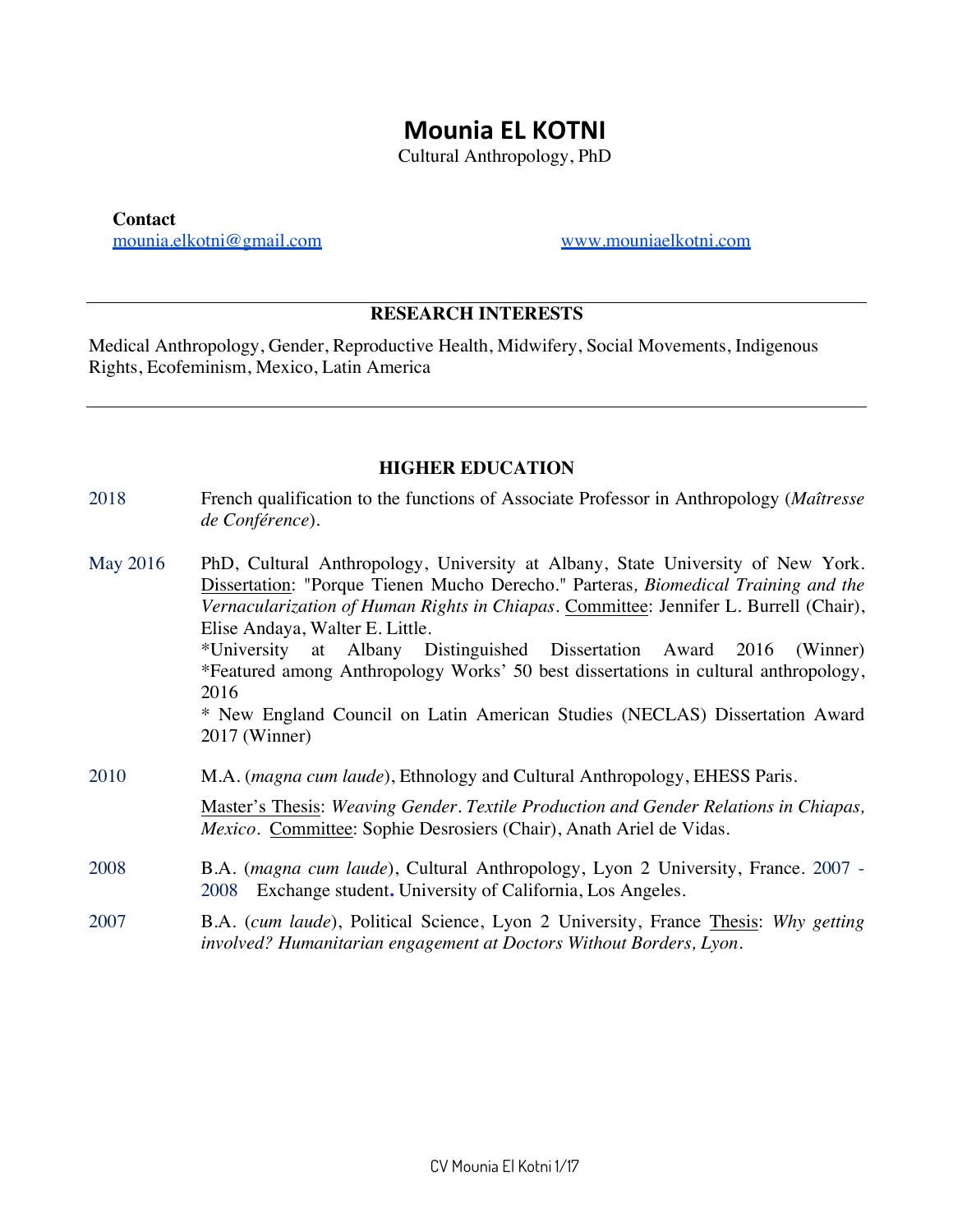# **Mounia EL KOTNI**

Cultural Anthropology, PhD

**Contact** mounia.elkotni@gmail.com www.mouniaelkotni.com

#### **RESEARCH INTERESTS**

Medical Anthropology, Gender, Reproductive Health, Midwifery, Social Movements, Indigenous Rights, Ecofeminism, Mexico, Latin America

#### **HIGHER EDUCATION**

| 2018 | French qualification to the functions of Associate Professor in Anthropology ( <i>Maîtresse</i> |
|------|-------------------------------------------------------------------------------------------------|
|      | <i>de Conférence</i> ).                                                                         |
|      |                                                                                                 |

May 2016 PhD, Cultural Anthropology, University at Albany, State University of New York. Dissertation: "Porque Tienen Mucho Derecho*.*" Parteras*, Biomedical Training and the Vernacularization of Human Rights in Chiapas*. Committee: Jennifer L. Burrell (Chair), Elise Andaya, Walter E. Little. \*University at Albany Distinguished Dissertation Award 2016 (Winner) \*Featured among Anthropology Works' 50 best dissertations in cultural anthropology, 2016

> \* New England Council on Latin American Studies (NECLAS) Dissertation Award 2017 (Winner)

2010 M.A. (*magna cum laude*), Ethnology and Cultural Anthropology, EHESS Paris.

Master's Thesis: *Weaving Gender. Textile Production and Gender Relations in Chiapas, Mexico*. Committee: Sophie Desrosiers (Chair), Anath Ariel de Vidas.

- 2008 B.A. (*magna cum laude*), Cultural Anthropology, Lyon 2 University, France. 2007 2008 Exchange student**.** University of California, Los Angeles.
- 2007 B.A. (*cum laude*), Political Science, Lyon 2 University, France Thesis: *Why getting involved? Humanitarian engagement at Doctors Without Borders, Lyon*.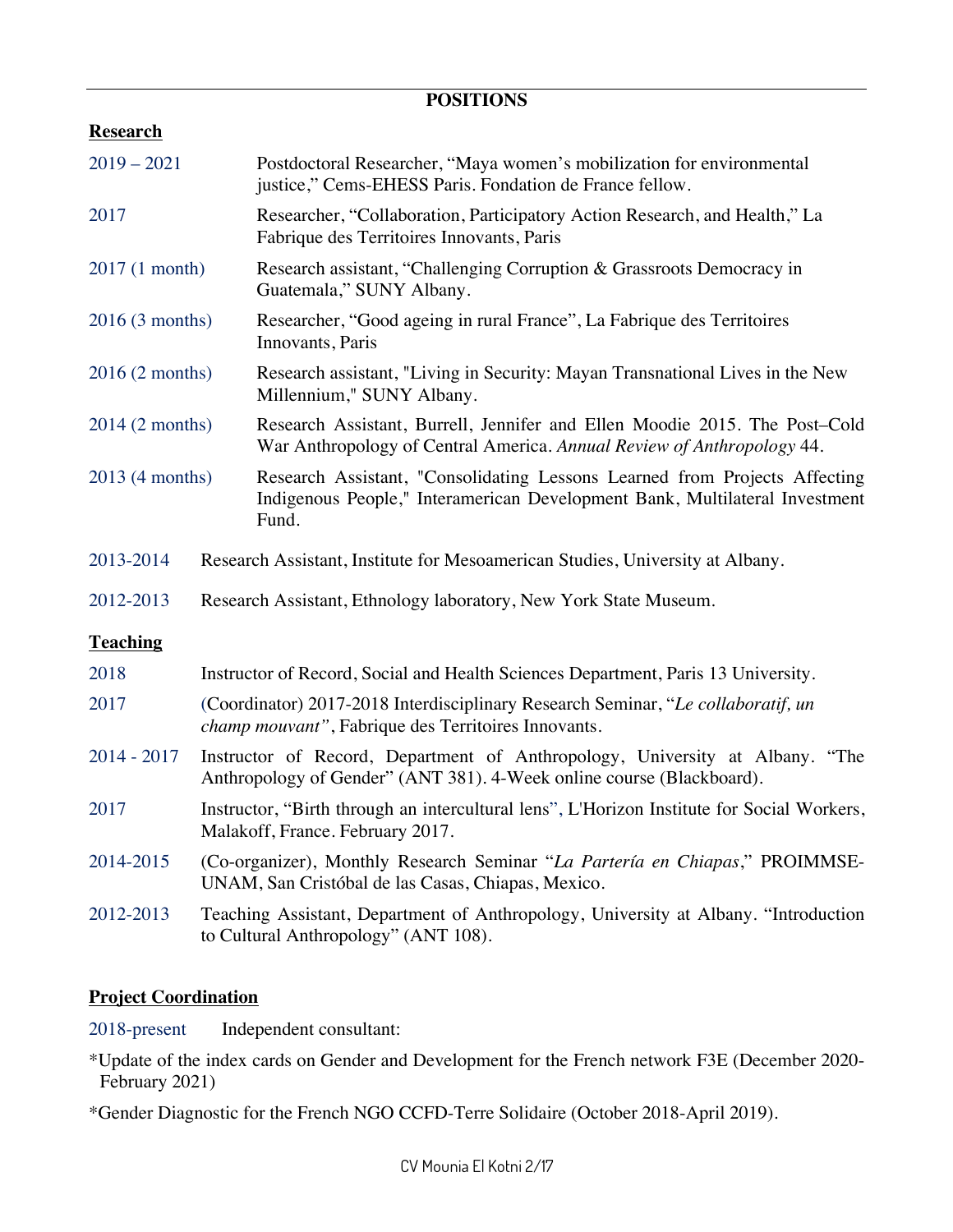## **POSITIONS**

## **Research**

| $2019 - 2021$   |                                                                                                                                                       | Postdoctoral Researcher, "Maya women's mobilization for environmental<br>justice," Cems-EHESS Paris. Fondation de France fellow.                                   |
|-----------------|-------------------------------------------------------------------------------------------------------------------------------------------------------|--------------------------------------------------------------------------------------------------------------------------------------------------------------------|
| 2017            |                                                                                                                                                       | Researcher, "Collaboration, Participatory Action Research, and Health," La<br>Fabrique des Territoires Innovants, Paris                                            |
| 2017 (1 month)  |                                                                                                                                                       | Research assistant, "Challenging Corruption & Grassroots Democracy in<br>Guatemala," SUNY Albany.                                                                  |
| 2016(3 months)  |                                                                                                                                                       | Researcher, "Good ageing in rural France", La Fabrique des Territoires<br>Innovants, Paris                                                                         |
| 2016 (2 months) |                                                                                                                                                       | Research assistant, "Living in Security: Mayan Transnational Lives in the New<br>Millennium," SUNY Albany.                                                         |
| 2014 (2 months) |                                                                                                                                                       | Research Assistant, Burrell, Jennifer and Ellen Moodie 2015. The Post-Cold<br>War Anthropology of Central America. Annual Review of Anthropology 44.               |
| 2013 (4 months) |                                                                                                                                                       | Research Assistant, "Consolidating Lessons Learned from Projects Affecting<br>Indigenous People," Interamerican Development Bank, Multilateral Investment<br>Fund. |
| 2013-2014       |                                                                                                                                                       | Research Assistant, Institute for Mesoamerican Studies, University at Albany.                                                                                      |
| 2012-2013       |                                                                                                                                                       | Research Assistant, Ethnology laboratory, New York State Museum.                                                                                                   |
| <b>Teaching</b> |                                                                                                                                                       |                                                                                                                                                                    |
| 2018            |                                                                                                                                                       | Instructor of Record, Social and Health Sciences Department, Paris 13 University.                                                                                  |
| 2017            | (Coordinator) 2017-2018 Interdisciplinary Research Seminar, "Le collaboratif, un<br>champ mouvant", Fabrique des Territoires Innovants.               |                                                                                                                                                                    |
| $2014 - 2017$   | Instructor of Record, Department of Anthropology, University at Albany. "The<br>Anthropology of Gender" (ANT 381). 4-Week online course (Blackboard). |                                                                                                                                                                    |
| 2017            | Instructor, "Birth through an intercultural lens", L'Horizon Institute for Social Workers,<br>Malakoff, France. February 2017.                        |                                                                                                                                                                    |
| 2014-2015       | (Co-organizer), Monthly Research Seminar "La Partería en Chiapas," PROIMMSE-<br>UNAM, San Cristóbal de las Casas, Chiapas, Mexico.                    |                                                                                                                                                                    |
| 2012-2013       | Teaching Assistant, Department of Anthropology, University at Albany. "Introduction<br>to Cultural Anthropology" (ANT 108).                           |                                                                                                                                                                    |

### **Project Coordination**

2018-present Independent consultant:

\*Update of the index cards on Gender and Development for the French network F3E (December 2020- February 2021)

\*Gender Diagnostic for the French NGO CCFD-Terre Solidaire (October 2018-April 2019).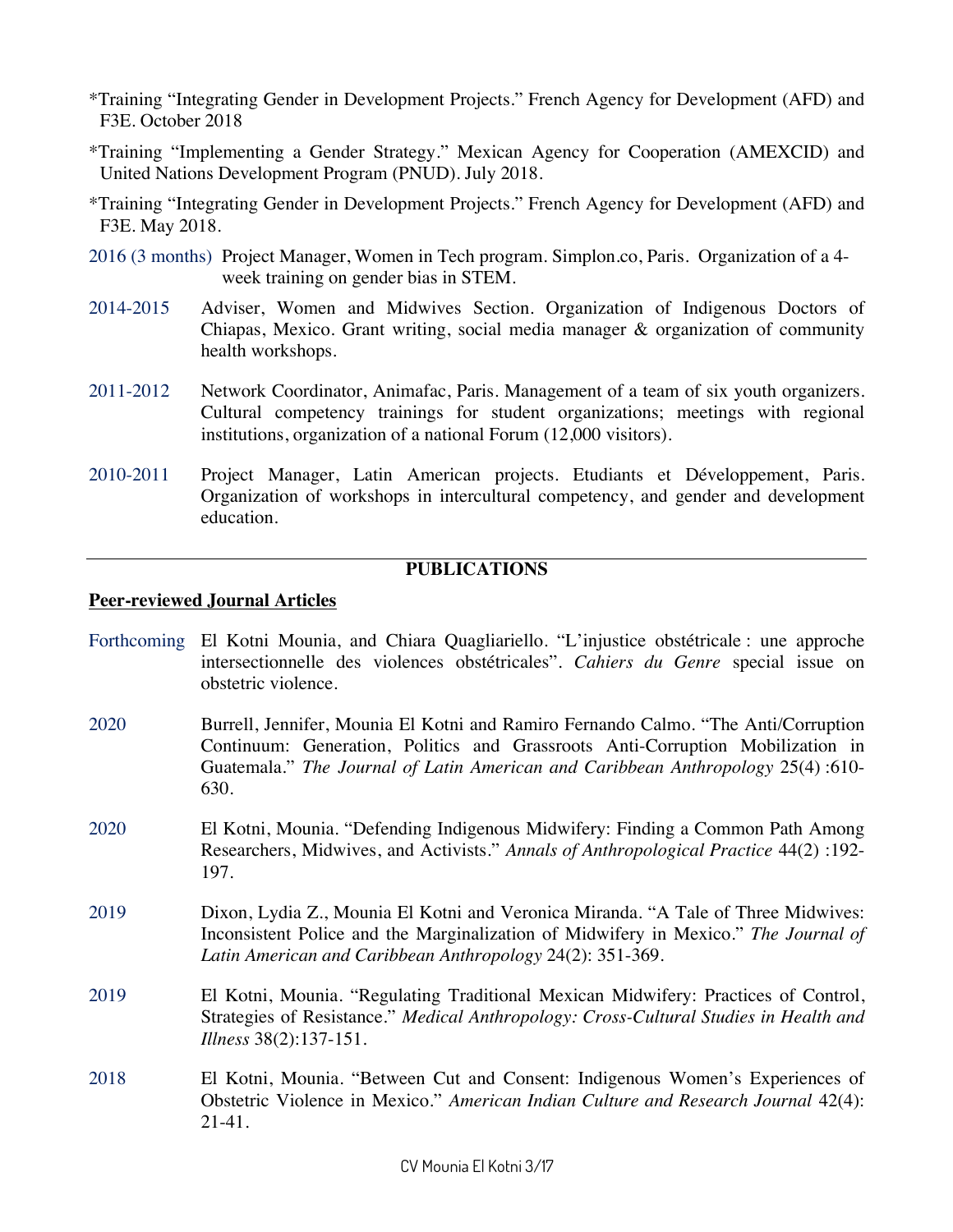- \*Training "Integrating Gender in Development Projects." French Agency for Development (AFD) and F3E. October 2018
- \*Training "Implementing a Gender Strategy." Mexican Agency for Cooperation (AMEXCID) and United Nations Development Program (PNUD). July 2018.
- \*Training "Integrating Gender in Development Projects." French Agency for Development (AFD) and F3E. May 2018.
- 2016 (3 months) Project Manager, Women in Tech program. Simplon.co, Paris. Organization of a 4 week training on gender bias in STEM.
- 2014-2015 Adviser, Women and Midwives Section. Organization of Indigenous Doctors of Chiapas, Mexico. Grant writing, social media manager & organization of community health workshops.
- 2011-2012 Network Coordinator, Animafac, Paris. Management of a team of six youth organizers. Cultural competency trainings for student organizations; meetings with regional institutions, organization of a national Forum (12,000 visitors).
- 2010-2011 Project Manager, Latin American projects. Etudiants et Développement, Paris. Organization of workshops in intercultural competency, and gender and development education.

#### **PUBLICATIONS**

#### **Peer-reviewed Journal Articles**

- Forthcoming El Kotni Mounia, and Chiara Quagliariello. "L'injustice obstétricale : une approche intersectionnelle des violences obstétricales". *Cahiers du Genre* special issue on obstetric violence.
- 2020 Burrell, Jennifer, Mounia El Kotni and Ramiro Fernando Calmo. "The Anti/Corruption Continuum: Generation, Politics and Grassroots Anti-Corruption Mobilization in Guatemala." *The Journal of Latin American and Caribbean Anthropology* 25(4) :610- 630.
- 2020 El Kotni, Mounia. "Defending Indigenous Midwifery: Finding a Common Path Among Researchers, Midwives, and Activists." *Annals of Anthropological Practice* 44(2) :192- 197.
- 2019 Dixon, Lydia Z., Mounia El Kotni and Veronica Miranda. "A Tale of Three Midwives: Inconsistent Police and the Marginalization of Midwifery in Mexico." *The Journal of Latin American and Caribbean Anthropology* 24(2): 351-369.
- 2019 El Kotni, Mounia. "Regulating Traditional Mexican Midwifery: Practices of Control, Strategies of Resistance." *Medical Anthropology: Cross-Cultural Studies in Health and Illness* 38(2):137-151.
- 2018 El Kotni, Mounia. "Between Cut and Consent: Indigenous Women's Experiences of Obstetric Violence in Mexico." *American Indian Culture and Research Journal* 42(4): 21-41.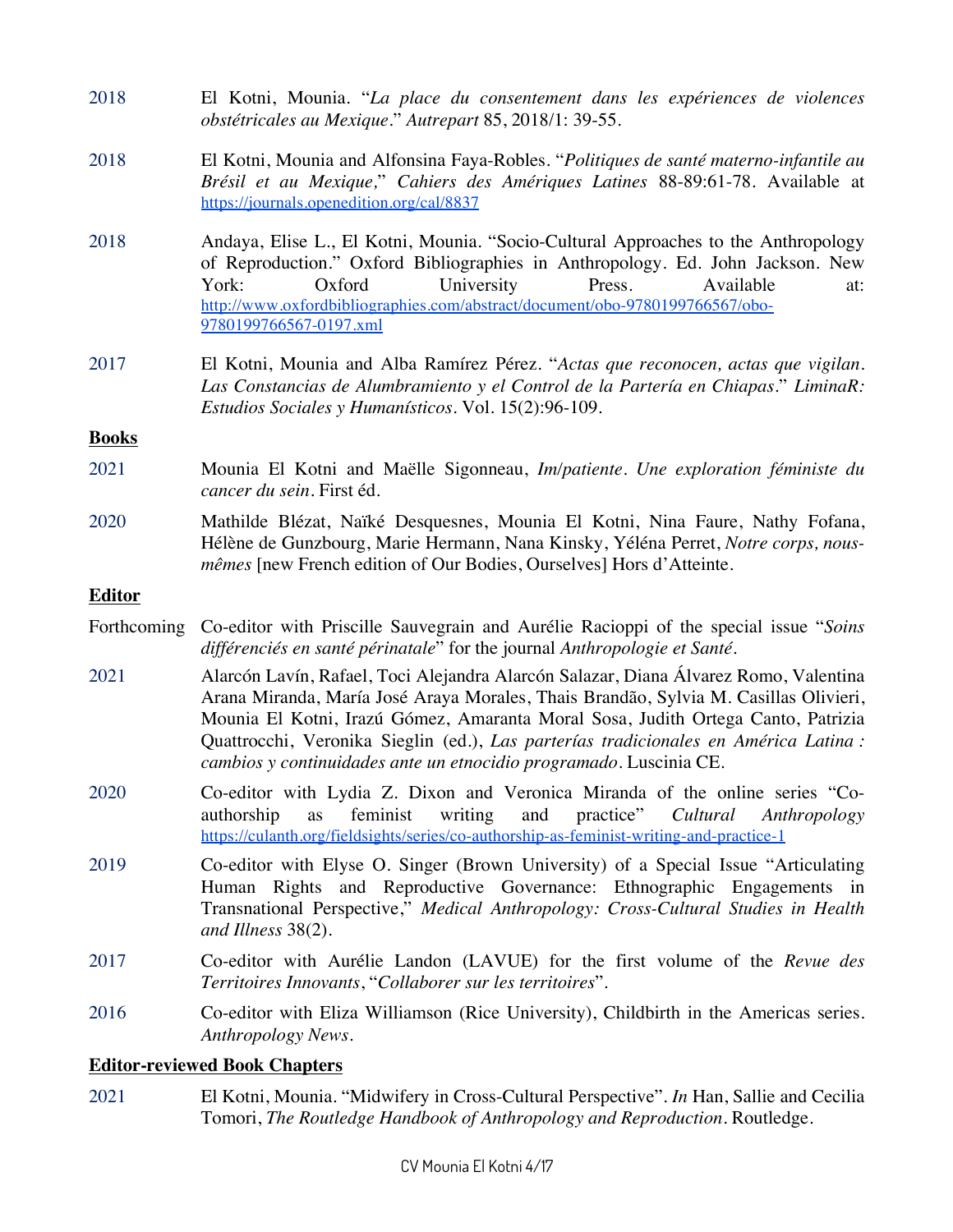| 2018          | El Kotni, Mounia. "La place du consentement dans les expériences de violences<br>obstétricales au Mexique." Autrepart 85, 2018/1: 39-55.                                                                                                                                                                                                                                                                                       |
|---------------|--------------------------------------------------------------------------------------------------------------------------------------------------------------------------------------------------------------------------------------------------------------------------------------------------------------------------------------------------------------------------------------------------------------------------------|
| 2018          | El Kotni, Mounia and Alfonsina Faya-Robles. "Politiques de santé materno-infantile au<br>Brésil et au Mexique," Cahiers des Amériques Latines 88-89:61-78. Available at<br>https://journals.openedition.org/cal/8837                                                                                                                                                                                                           |
| 2018          | Andaya, Elise L., El Kotni, Mounia. "Socio-Cultural Approaches to the Anthropology<br>of Reproduction." Oxford Bibliographies in Anthropology. Ed. John Jackson. New<br>University<br>Oxford<br>Press.<br>York:<br>Available<br>at:<br>http://www.oxfordbibliographies.com/abstract/document/obo-9780199766567/obo-<br>9780199766567-0197.xml                                                                                  |
| 2017          | El Kotni, Mounia and Alba Ramírez Pérez. "Actas que reconocen, actas que vigilan.<br>Las Constancias de Alumbramiento y el Control de la Partería en Chiapas." LiminaR:<br>Estudios Sociales y Humanísticos. Vol. 15(2):96-109.                                                                                                                                                                                                |
| <b>Books</b>  |                                                                                                                                                                                                                                                                                                                                                                                                                                |
| 2021          | Mounia El Kotni and Maëlle Sigonneau, Im/patiente. Une exploration féministe du<br>cancer du sein. First éd.                                                                                                                                                                                                                                                                                                                   |
| 2020          | Mathilde Blézat, Naïké Desquesnes, Mounia El Kotni, Nina Faure, Nathy Fofana,<br>Hélène de Gunzbourg, Marie Hermann, Nana Kinsky, Yéléna Perret, Notre corps, nous-<br><i>mêmes</i> [new French edition of Our Bodies, Ourselves] Hors d'Atteinte.                                                                                                                                                                             |
| <b>Editor</b> |                                                                                                                                                                                                                                                                                                                                                                                                                                |
| Forthcoming   | Co-editor with Priscille Sauvegrain and Aurélie Racioppi of the special issue "Soins"<br>différenciés en santé périnatale" for the journal Anthropologie et Santé.                                                                                                                                                                                                                                                             |
| 2021          | Alarcón Lavín, Rafael, Toci Alejandra Alarcón Salazar, Diana Álvarez Romo, Valentina<br>Arana Miranda, María José Araya Morales, Thais Brandão, Sylvia M. Casillas Olivieri,<br>Mounia El Kotni, Irazú Gómez, Amaranta Moral Sosa, Judith Ortega Canto, Patrizia<br>Quattrocchi, Veronika Sieglin (ed.), Las parterías tradicionales en América Latina :<br>cambios y continuidades ante un etnocidio programado. Luscinia CE. |
| 2020          | Co-editor with Lydia Z. Dixon and Veronica Miranda of the online series "Co-<br>feminist<br>practice"<br>authorship<br>writing<br>and<br>Cultural<br>Anthropology<br>as<br>https://culanth.org/fieldsights/series/co-authorship-as-feminist-writing-and-practice-1                                                                                                                                                             |
| 2019          | Co-editor with Elyse O. Singer (Brown University) of a Special Issue "Articulating<br>Human Rights and Reproductive Governance: Ethnographic Engagements in<br>Transnational Perspective," Medical Anthropology: Cross-Cultural Studies in Health<br>and Illness $38(2)$ .                                                                                                                                                     |
| 2017          | Co-editor with Aurélie Landon (LAVUE) for the first volume of the Revue des<br>Territoires Innovants, "Collaborer sur les territoires".                                                                                                                                                                                                                                                                                        |
| 2016          | Co-editor with Eliza Williamson (Rice University), Childbirth in the Americas series.<br>Anthropology News.                                                                                                                                                                                                                                                                                                                    |
|               | <b>Editor-reviewed Book Chapters</b>                                                                                                                                                                                                                                                                                                                                                                                           |
| 2021          | El Kotni, Mounia. "Midwifery in Cross-Cultural Perspective". In Han, Sallie and Cecilia<br>Tomori, The Routledge Handbook of Anthropology and Reproduction. Routledge.                                                                                                                                                                                                                                                         |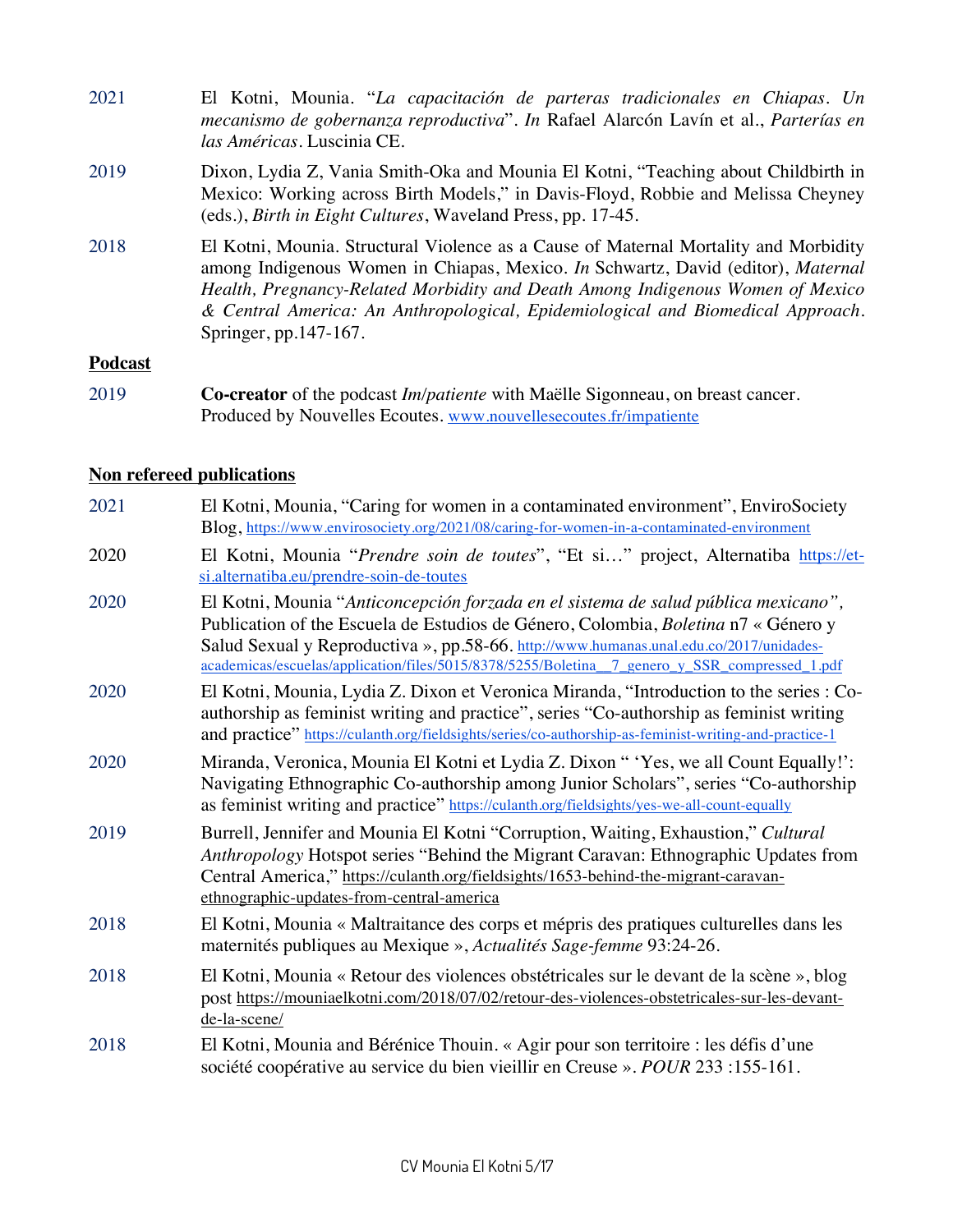| 2021    | El Kotni, Mounia. "La capacitación de parteras tradicionales en Chiapas. Un<br>mecanismo de gobernanza reproductiva". In Rafael Alarcón Lavín et al., Parterías en<br>las Américas. Luscinia CE.                                                                                                                                                                       |
|---------|------------------------------------------------------------------------------------------------------------------------------------------------------------------------------------------------------------------------------------------------------------------------------------------------------------------------------------------------------------------------|
| 2019    | Dixon, Lydia Z, Vania Smith-Oka and Mounia El Kotni, "Teaching about Childbirth in<br>Mexico: Working across Birth Models," in Davis-Floyd, Robbie and Melissa Cheyney<br>(eds.), Birth in Eight Cultures, Waveland Press, pp. 17-45.                                                                                                                                  |
| 2018    | El Kotni, Mounia. Structural Violence as a Cause of Maternal Mortality and Morbidity<br>among Indigenous Women in Chiapas, Mexico. In Schwartz, David (editor), Maternal<br>Health, Pregnancy-Related Morbidity and Death Among Indigenous Women of Mexico<br>& Central America: An Anthropological, Epidemiological and Biomedical Approach.<br>Springer, pp.147-167. |
| Podcast |                                                                                                                                                                                                                                                                                                                                                                        |

2019 **Co-creator** of the podcast *Im/patiente* with Maëlle Sigonneau, on breast cancer. Produced by Nouvelles Ecoutes. www.nouvellesecoutes.fr/impatiente

## **Non refereed publications**

| 2021 | El Kotni, Mounia, "Caring for women in a contaminated environment", EnviroSociety<br>Blog, https://www.envirosociety.org/2021/08/caring-for-women-in-a-contaminated-environment                                                                                                                                                                                     |
|------|---------------------------------------------------------------------------------------------------------------------------------------------------------------------------------------------------------------------------------------------------------------------------------------------------------------------------------------------------------------------|
| 2020 | El Kotni, Mounia "Prendre soin de toutes", "Et si" project, Alternatiba https://et-<br>si.alternatiba.eu/prendre-soin-de-toutes                                                                                                                                                                                                                                     |
| 2020 | El Kotni, Mounia "Anticoncepción forzada en el sistema de salud pública mexicano",<br>Publication of the Escuela de Estudios de Género, Colombia, Boletina n7 « Género y<br>Salud Sexual y Reproductiva », pp.58-66. http://www.humanas.unal.edu.co/2017/unidades-<br>academicas/escuelas/application/files/5015/8378/5255/Boletina 7 genero y SSR_compressed_1.pdf |
| 2020 | El Kotni, Mounia, Lydia Z. Dixon et Veronica Miranda, "Introduction to the series : Co-<br>authorship as feminist writing and practice", series "Co-authorship as feminist writing<br>and practice" https://culanth.org/fieldsights/series/co-authorship-as-feminist-writing-and-practice-1                                                                         |
| 2020 | Miranda, Veronica, Mounia El Kotni et Lydia Z. Dixon "Yes, we all Count Equally!':<br>Navigating Ethnographic Co-authorship among Junior Scholars", series "Co-authorship<br>as feminist writing and practice" https://culanth.org/fieldsights/yes-we-all-count-equally                                                                                             |
| 2019 | Burrell, Jennifer and Mounia El Kotni "Corruption, Waiting, Exhaustion," Cultural<br>Anthropology Hotspot series "Behind the Migrant Caravan: Ethnographic Updates from<br>Central America," https://culanth.org/fieldsights/1653-behind-the-migrant-caravan-<br>ethnographic-updates-from-central-america                                                          |
| 2018 | El Kotni, Mounia « Maltraitance des corps et mépris des pratiques culturelles dans les<br>maternités publiques au Mexique », Actualités Sage-femme 93:24-26.                                                                                                                                                                                                        |
| 2018 | El Kotni, Mounia « Retour des violences obstétricales sur le devant de la scène », blog<br>post https://mouniaelkotni.com/2018/07/02/retour-des-violences-obstetricales-sur-les-devant-<br>de-la-scene/                                                                                                                                                             |
| 2018 | El Kotni, Mounia and Bérénice Thouin. « Agir pour son territoire : les défis d'une<br>société coopérative au service du bien vieillir en Creuse ». POUR 233 :155-161.                                                                                                                                                                                               |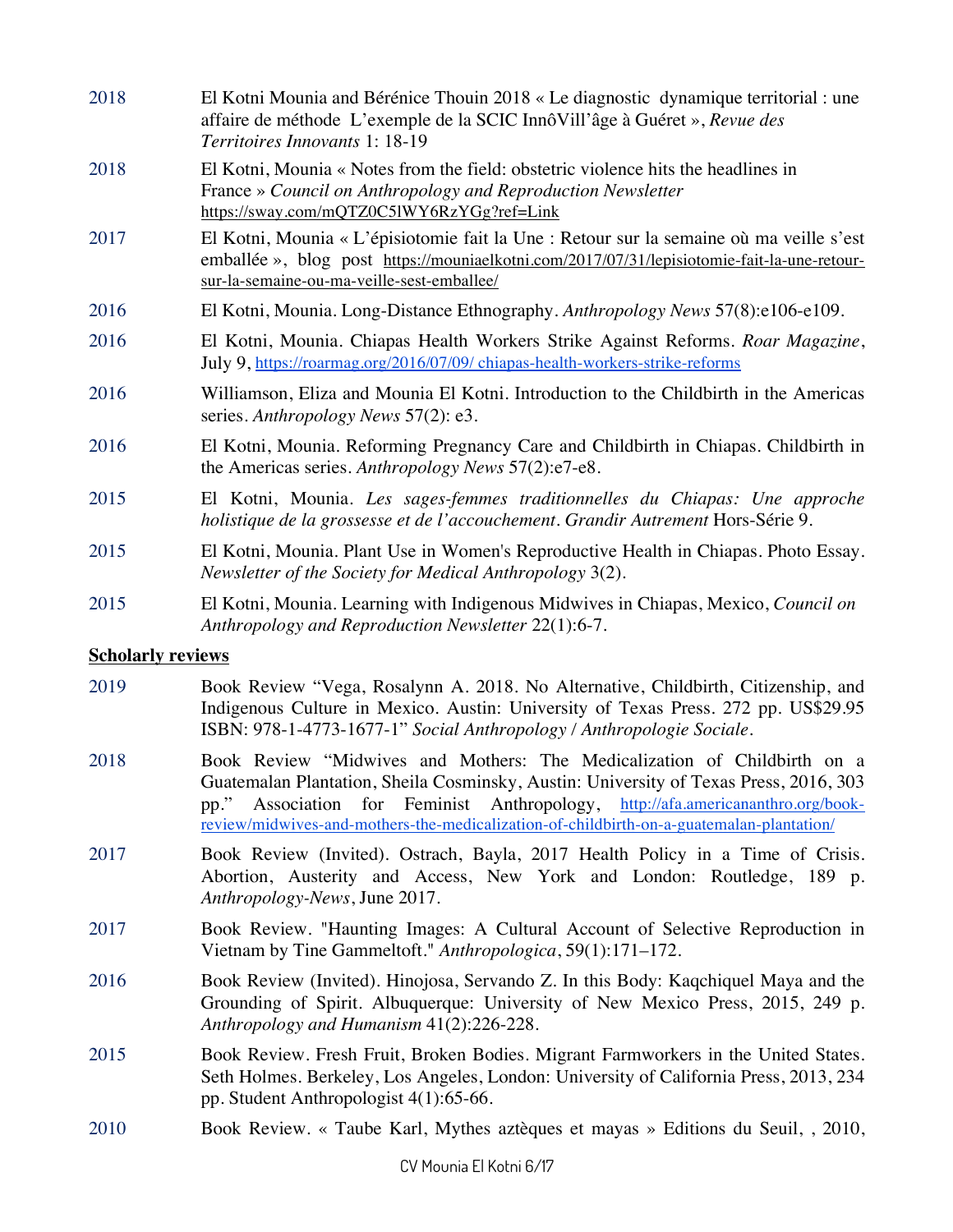| 2018                     | El Kotni Mounia and Bérénice Thouin 2018 « Le diagnostic dynamique territorial : une<br>affaire de méthode L'exemple de la SCIC InnôVill'âge à Guéret », Revue des<br><i>Territoires Innovants 1: 18-19</i>                          |
|--------------------------|--------------------------------------------------------------------------------------------------------------------------------------------------------------------------------------------------------------------------------------|
| 2018                     | El Kotni, Mounia « Notes from the field: obstetric violence hits the headlines in<br>France » Council on Anthropology and Reproduction Newsletter<br>https://sway.com/mQTZ0C51WY6RzYGg?ref=Link                                      |
| 2017                     | El Kotni, Mounia « L'épisiotomie fait la Une : Retour sur la semaine où ma veille s'est<br>emballée », blog post https://mouniaelkotni.com/2017/07/31/lepisiotomie-fait-la-une-retour-<br>sur-la-semaine-ou-ma-veille-sest-emballee/ |
| 2016                     | El Kotni, Mounia. Long-Distance Ethnography. Anthropology News 57(8):e106-e109.                                                                                                                                                      |
| 2016                     | El Kotni, Mounia. Chiapas Health Workers Strike Against Reforms. Roar Magazine,<br>July 9, https://roarmag.org/2016/07/09/ chiapas-health-workers-strike-reforms                                                                     |
| 2016                     | Williamson, Eliza and Mounia El Kotni. Introduction to the Childbirth in the Americas<br>series. Anthropology News 57(2): e3.                                                                                                        |
| 2016                     | El Kotni, Mounia. Reforming Pregnancy Care and Childbirth in Chiapas. Childbirth in<br>the Americas series. Anthropology News 57(2):e7-e8.                                                                                           |
| 2015                     | El Kotni, Mounia. Les sages-femmes traditionnelles du Chiapas: Une approche<br>holistique de la grossesse et de l'accouchement. Grandir Autrement Hors-Série 9.                                                                      |
| 2015                     | El Kotni, Mounia. Plant Use in Women's Reproductive Health in Chiapas. Photo Essay.<br>Newsletter of the Society for Medical Anthropology 3(2).                                                                                      |
| 2015                     | El Kotni, Mounia. Learning with Indigenous Midwives in Chiapas, Mexico, Council on<br>Anthropology and Reproduction Newsletter 22(1):6-7.                                                                                            |
| <b>Scholarly reviews</b> |                                                                                                                                                                                                                                      |

- 2019 Book Review "Vega, Rosalynn A. 2018. No Alternative, Childbirth, Citizenship, and Indigenous Culture in Mexico. Austin: University of Texas Press. 272 pp. US\$29.95 ISBN: 978-1-4773-1677-1" *Social Anthropology / Anthropologie Sociale*.
- 2018 Book Review "Midwives and Mothers: The Medicalization of Childbirth on a Guatemalan Plantation, Sheila Cosminsky, Austin: University of Texas Press, 2016, 303 pp." Association for Feminist Anthropology, http://afa.americananthro.org/bookreview/midwives-and-mothers-the-medicalization-of-childbirth-on-a-guatemalan-plantation/
- 2017 Book Review (Invited). Ostrach, Bayla, 2017 Health Policy in a Time of Crisis. Abortion, Austerity and Access, New York and London: Routledge, 189 p. *Anthropology-News*, June 2017.
- 2017 Book Review. "Haunting Images: A Cultural Account of Selective Reproduction in Vietnam by Tine Gammeltoft." *Anthropologica*, 59(1):171–172.
- 2016 Book Review (Invited). Hinojosa, Servando Z. In this Body: Kaqchiquel Maya and the Grounding of Spirit. Albuquerque: University of New Mexico Press, 2015, 249 p. *Anthropology and Humanism* 41(2):226-228.
- 2015 Book Review. Fresh Fruit, Broken Bodies. Migrant Farmworkers in the United States. Seth Holmes. Berkeley, Los Angeles, London: University of California Press, 2013, 234 pp. Student Anthropologist 4(1):65-66.
- 2010 Book Review. « Taube Karl, Mythes aztèques et mayas » Editions du Seuil, , 2010,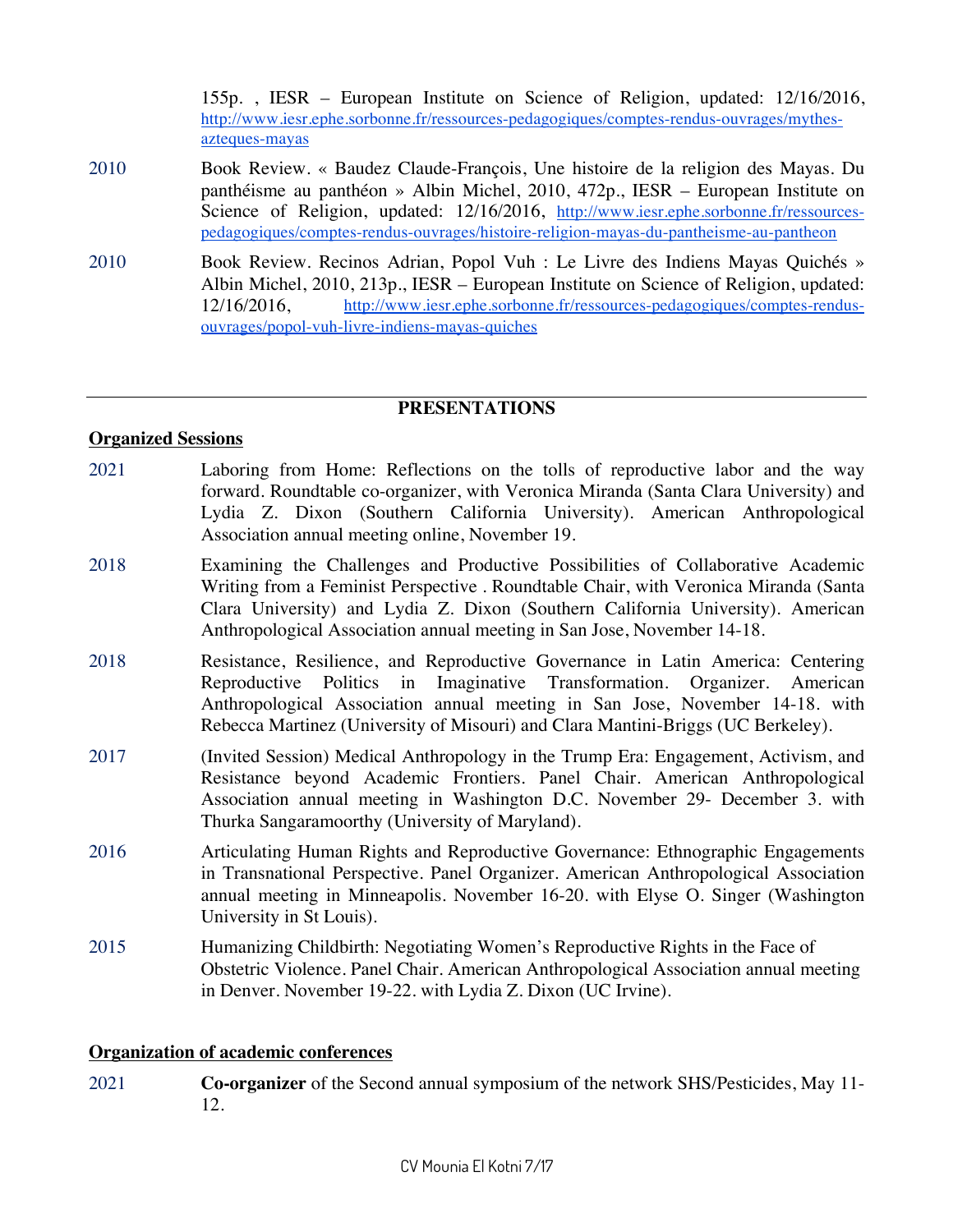155p. , IESR – European Institute on Science of Religion, updated: 12/16/2016, http://www.iesr.ephe.sorbonne.fr/ressources-pedagogiques/comptes-rendus-ouvrages/mythesazteques-mayas

- 2010 Book Review. « Baudez Claude-François, Une histoire de la religion des Mayas. Du panthéisme au panthéon » Albin Michel, 2010, 472p., IESR – European Institute on Science of Religion, updated: 12/16/2016, http://www.iesr.ephe.sorbonne.fr/ressourcespedagogiques/comptes-rendus-ouvrages/histoire-religion-mayas-du-pantheisme-au-pantheon
- 2010 Book Review. Recinos Adrian, Popol Vuh : Le Livre des Indiens Mayas Quichés » Albin Michel, 2010, 213p., IESR – European Institute on Science of Religion, updated: 12/16/2016, http://www.iesr.ephe.sorbonne.fr/ressources-pedagogiques/comptes-rendusouvrages/popol-vuh-livre-indiens-mayas-quiches

#### **PRESENTATIONS**

#### **Organized Sessions**

- 2021 Laboring from Home: Reflections on the tolls of reproductive labor and the way forward. Roundtable co-organizer, with Veronica Miranda (Santa Clara University) and Lydia Z. Dixon (Southern California University). American Anthropological Association annual meeting online, November 19.
- 2018 Examining the Challenges and Productive Possibilities of Collaborative Academic Writing from a Feminist Perspective . Roundtable Chair, with Veronica Miranda (Santa Clara University) and Lydia Z. Dixon (Southern California University). American Anthropological Association annual meeting in San Jose, November 14-18.
- 2018 Resistance, Resilience, and Reproductive Governance in Latin America: Centering Reproductive Politics in Imaginative Transformation. Organizer. American Anthropological Association annual meeting in San Jose, November 14-18. with Rebecca Martinez (University of Misouri) and Clara Mantini-Briggs (UC Berkeley).
- 2017 (Invited Session) Medical Anthropology in the Trump Era: Engagement, Activism, and Resistance beyond Academic Frontiers. Panel Chair. American Anthropological Association annual meeting in Washington D.C. November 29- December 3. with Thurka Sangaramoorthy (University of Maryland).
- 2016 Articulating Human Rights and Reproductive Governance: Ethnographic Engagements in Transnational Perspective. Panel Organizer. American Anthropological Association annual meeting in Minneapolis. November 16-20. with Elyse O. Singer (Washington University in St Louis).
- 2015 Humanizing Childbirth: Negotiating Women's Reproductive Rights in the Face of Obstetric Violence. Panel Chair. American Anthropological Association annual meeting in Denver. November 19-22. with Lydia Z. Dixon (UC Irvine).

#### **Organization of academic conferences**

2021 **Co-organizer** of the Second annual symposium of the network SHS/Pesticides, May 11- 12.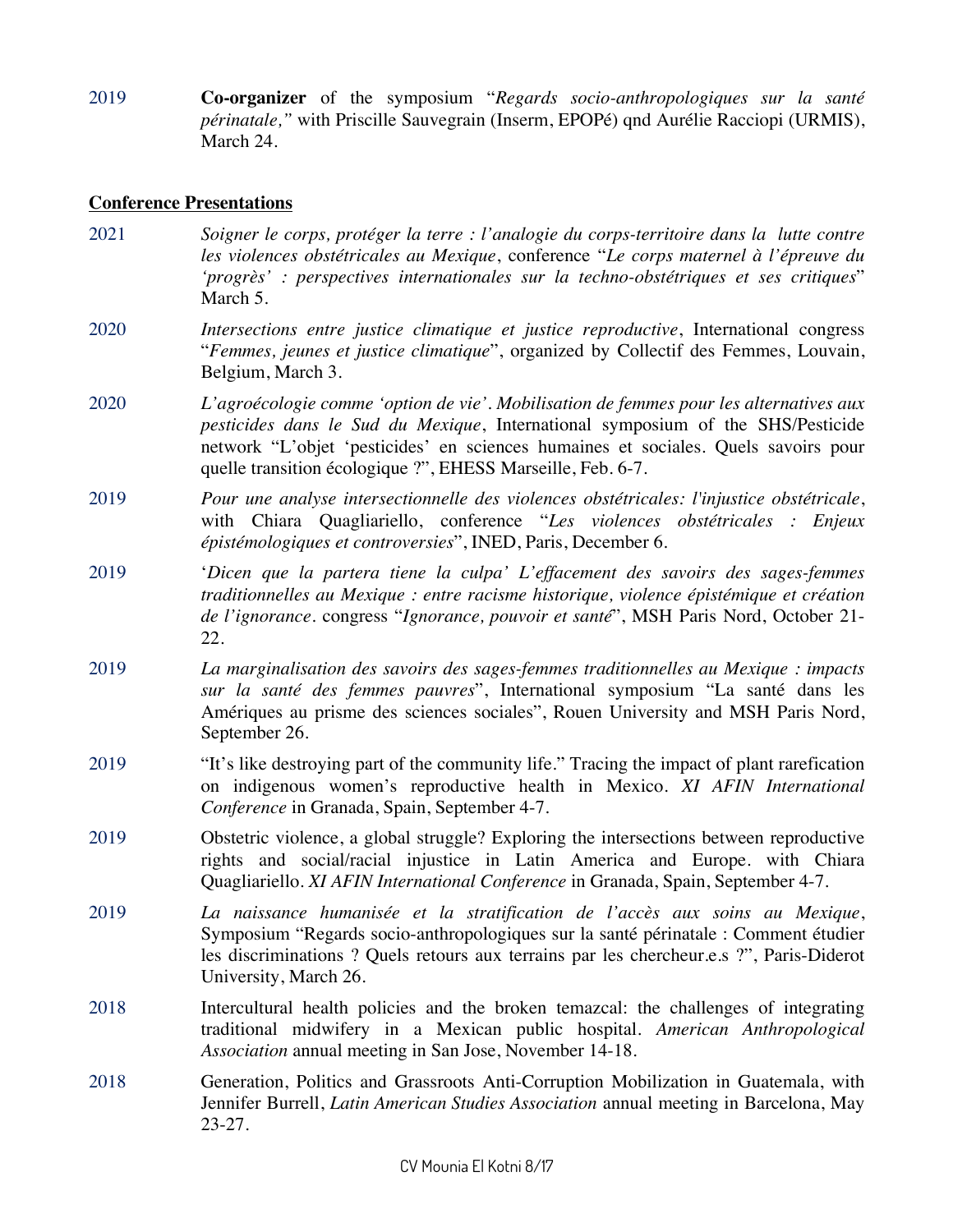2019 **Co-organizer** of the symposium "*Regards socio-anthropologiques sur la santé périnatale,"* with Priscille Sauvegrain (Inserm, EPOPé) qnd Aurélie Racciopi (URMIS), March 24.

#### **Conference Presentations**

- 2021 *Soigner le corps, protéger la terre : l'analogie du corps-territoire dans la lutte contre les violences obstétricales au Mexique*, conference "*Le corps maternel à l'épreuve du 'progrès' : perspectives internationales sur la techno-obstétriques et ses critiques*" March 5.
- 2020 *Intersections entre justice climatique et justice reproductive*, International congress "*Femmes, jeunes et justice climatique*", organized by Collectif des Femmes, Louvain, Belgium, March 3.
- 2020 *L'agroécologie comme 'option de vie'. Mobilisation de femmes pour les alternatives aux pesticides dans le Sud du Mexique*, International symposium of the SHS/Pesticide network "L'objet 'pesticides' en sciences humaines et sociales. Quels savoirs pour quelle transition écologique ?", EHESS Marseille, Feb. 6-7.
- 2019 *Pour une analyse intersectionnelle des violences obstétricales: l'injustice obstétricale*, with Chiara Quagliariello, conference "*Les violences obstétricales : Enjeux épistémologiques et controversies*", INED, Paris, December 6.
- 2019 '*Dicen que la partera tiene la culpa' L'effacement des savoirs des sages-femmes traditionnelles au Mexique : entre racisme historique, violence épistémique et création de l'ignorance*. congress "*Ignorance, pouvoir et santé*", MSH Paris Nord, October 21- 22.
- 2019 *La marginalisation des savoirs des sages-femmes traditionnelles au Mexique : impacts sur la santé des femmes pauvres*", International symposium "La santé dans les Amériques au prisme des sciences sociales", Rouen University and MSH Paris Nord, September 26.
- 2019 "It's like destroying part of the community life." Tracing the impact of plant rarefication on indigenous women's reproductive health in Mexico. *XI AFIN International Conference* in Granada, Spain, September 4-7.
- 2019 Obstetric violence, a global struggle? Exploring the intersections between reproductive rights and social/racial injustice in Latin America and Europe. with Chiara Quagliariello. *XI AFIN International Conference* in Granada, Spain, September 4-7.
- 2019 *La naissance humanisée et la stratification de l'accès aux soins au Mexique*, Symposium "Regards socio-anthropologiques sur la santé périnatale : Comment étudier les discriminations ? Quels retours aux terrains par les chercheur.e.s ?", Paris-Diderot University, March 26.
- 2018 Intercultural health policies and the broken temazcal: the challenges of integrating traditional midwifery in a Mexican public hospital. *American Anthropological Association* annual meeting in San Jose, November 14-18.
- 2018 Generation, Politics and Grassroots Anti-Corruption Mobilization in Guatemala, with Jennifer Burrell, *Latin American Studies Association* annual meeting in Barcelona, May 23-27.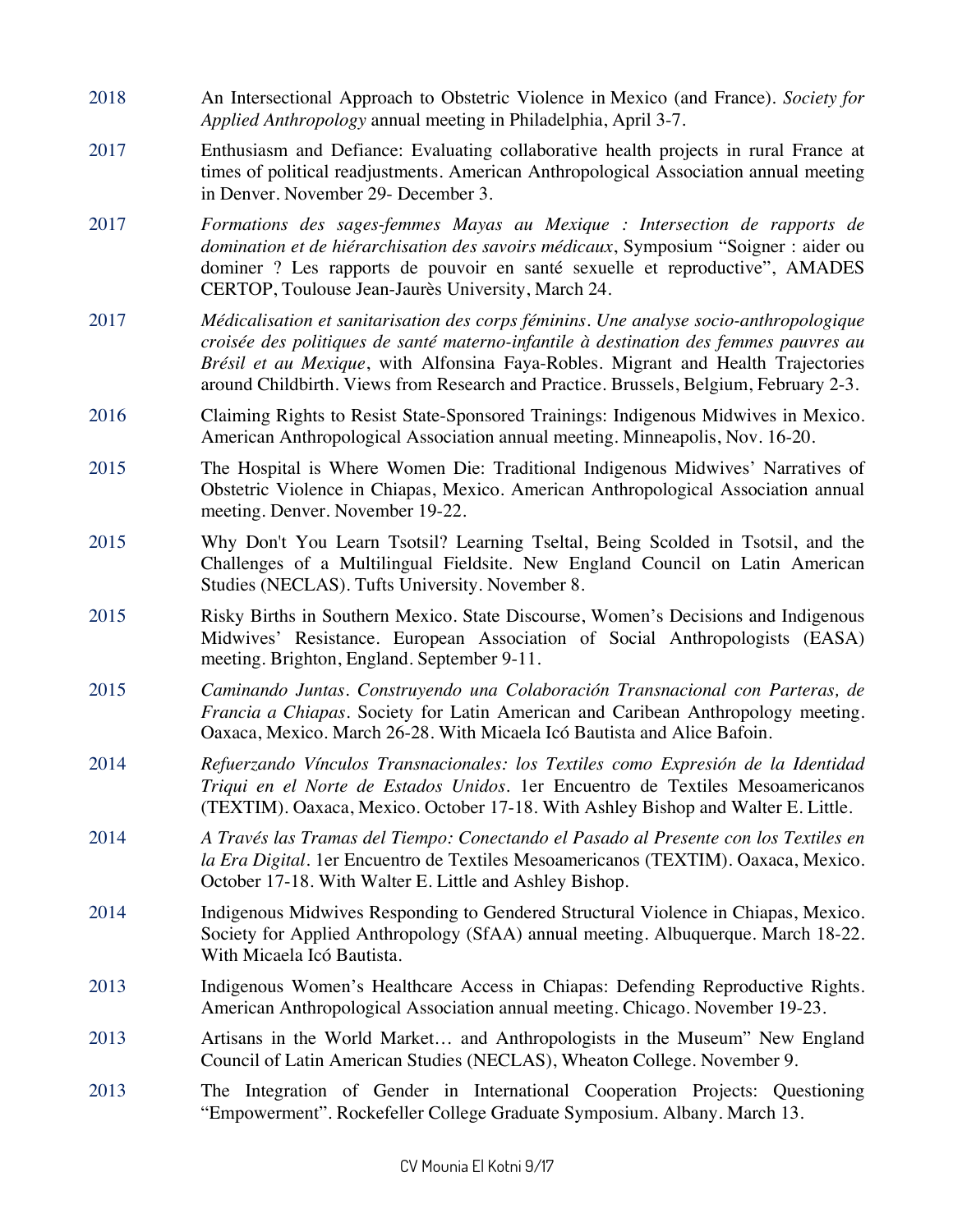- 2018 An Intersectional Approach to Obstetric Violence in Mexico (and France). *Society for Applied Anthropology* annual meeting in Philadelphia, April 3-7.
- 2017 Enthusiasm and Defiance: Evaluating collaborative health projects in rural France at times of political readjustments. American Anthropological Association annual meeting in Denver. November 29- December 3.
- 2017 *Formations des sages-femmes Mayas au Mexique : Intersection de rapports de domination et de hiérarchisation des savoirs médicaux*, Symposium "Soigner : aider ou dominer ? Les rapports de pouvoir en santé sexuelle et reproductive", AMADES CERTOP, Toulouse Jean-Jaurès University, March 24.
- 2017 *Médicalisation et sanitarisation des corps féminins. Une analyse socio-anthropologique croisée des politiques de santé materno-infantile à destination des femmes pauvres au Brésil et au Mexique*, with Alfonsina Faya-Robles. Migrant and Health Trajectories around Childbirth. Views from Research and Practice. Brussels, Belgium, February 2-3.
- 2016 Claiming Rights to Resist State-Sponsored Trainings: Indigenous Midwives in Mexico. American Anthropological Association annual meeting. Minneapolis, Nov. 16-20.
- 2015 The Hospital is Where Women Die: Traditional Indigenous Midwives' Narratives of Obstetric Violence in Chiapas, Mexico. American Anthropological Association annual meeting. Denver. November 19-22.
- 2015 Why Don't You Learn Tsotsil? Learning Tseltal, Being Scolded in Tsotsil, and the Challenges of a Multilingual Fieldsite. New England Council on Latin American Studies (NECLAS). Tufts University. November 8.
- 2015 Risky Births in Southern Mexico. State Discourse, Women's Decisions and Indigenous Midwives' Resistance. European Association of Social Anthropologists (EASA) meeting. Brighton, England. September 9-11.
- 2015 *Caminando Juntas. Construyendo una Colaboración Transnacional con Parteras, de Francia a Chiapas*. Society for Latin American and Caribean Anthropology meeting. Oaxaca, Mexico. March 26-28. With Micaela Icó Bautista and Alice Bafoin.
- 2014 *Refuerzando Vínculos Transnacionales: los Textiles como Expresión de la Identidad Triqui en el Norte de Estados Unidos*. 1er Encuentro de Textiles Mesoamericanos (TEXTIM). Oaxaca, Mexico. October 17-18. With Ashley Bishop and Walter E. Little.
- 2014 *A Través las Tramas del Tiempo: Conectando el Pasado al Presente con los Textiles en la Era Digital*. 1er Encuentro de Textiles Mesoamericanos (TEXTIM). Oaxaca, Mexico. October 17-18. With Walter E. Little and Ashley Bishop.
- 2014 Indigenous Midwives Responding to Gendered Structural Violence in Chiapas, Mexico. Society for Applied Anthropology (SfAA) annual meeting. Albuquerque. March 18-22. With Micaela Icó Bautista.
- 2013 Indigenous Women's Healthcare Access in Chiapas: Defending Reproductive Rights. American Anthropological Association annual meeting. Chicago. November 19-23.
- 2013 Artisans in the World Market… and Anthropologists in the Museum" New England Council of Latin American Studies (NECLAS), Wheaton College. November 9.
- 2013 The Integration of Gender in International Cooperation Projects: Questioning "Empowerment". Rockefeller College Graduate Symposium. Albany. March 13.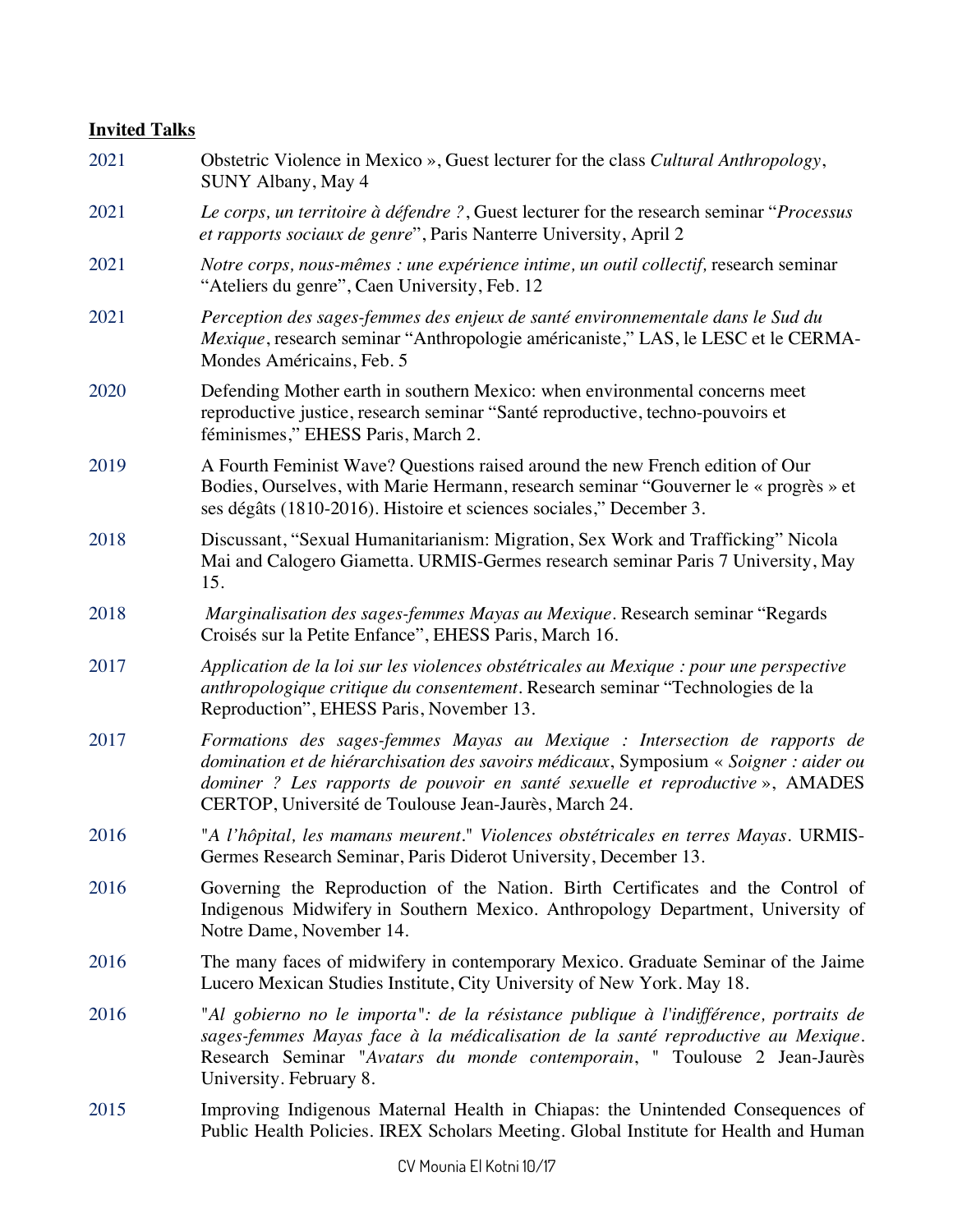## **Invited Talks**

| 2021 | Obstetric Violence in Mexico », Guest lecturer for the class Cultural Anthropology,<br>SUNY Albany, May 4                                                                                                                                                                                                   |
|------|-------------------------------------------------------------------------------------------------------------------------------------------------------------------------------------------------------------------------------------------------------------------------------------------------------------|
| 2021 | Le corps, un territoire à défendre ?, Guest lecturer for the research seminar "Processus<br>et rapports sociaux de genre", Paris Nanterre University, April 2                                                                                                                                               |
| 2021 | Notre corps, nous-mêmes : une expérience intime, un outil collectif, research seminar<br>"Ateliers du genre", Caen University, Feb. 12                                                                                                                                                                      |
| 2021 | Perception des sages-femmes des enjeux de santé environnementale dans le Sud du<br>Mexique, research seminar "Anthropologie américaniste," LAS, le LESC et le CERMA-<br>Mondes Américains, Feb. 5                                                                                                           |
| 2020 | Defending Mother earth in southern Mexico: when environmental concerns meet<br>reproductive justice, research seminar "Santé reproductive, techno-pouvoirs et<br>féminismes," EHESS Paris, March 2.                                                                                                         |
| 2019 | A Fourth Feminist Wave? Questions raised around the new French edition of Our<br>Bodies, Ourselves, with Marie Hermann, research seminar "Gouverner le « progrès » et<br>ses dégâts (1810-2016). Histoire et sciences sociales," December 3.                                                                |
| 2018 | Discussant, "Sexual Humanitarianism: Migration, Sex Work and Trafficking" Nicola<br>Mai and Calogero Giametta. URMIS-Germes research seminar Paris 7 University, May<br>15.                                                                                                                                 |
| 2018 | Marginalisation des sages-femmes Mayas au Mexique. Research seminar "Regards"<br>Croisés sur la Petite Enfance", EHESS Paris, March 16.                                                                                                                                                                     |
| 2017 | Application de la loi sur les violences obstétricales au Mexique : pour une perspective<br>anthropologique critique du consentement. Research seminar "Technologies de la<br>Reproduction", EHESS Paris, November 13.                                                                                       |
| 2017 | Formations des sages-femmes Mayas au Mexique : Intersection de rapports de<br>domination et de hiérarchisation des savoirs médicaux, Symposium « Soigner : aider ou<br>dominer? Les rapports de pouvoir en santé sexuelle et reproductive», AMADES<br>CERTOP, Université de Toulouse Jean-Jaurès, March 24. |
| 2016 | "A l'hôpital, les mamans meurent." Violences obstétricales en terres Mayas. URMIS-<br>Germes Research Seminar, Paris Diderot University, December 13.                                                                                                                                                       |
| 2016 | Governing the Reproduction of the Nation. Birth Certificates and the Control of<br>Indigenous Midwifery in Southern Mexico. Anthropology Department, University of<br>Notre Dame, November 14.                                                                                                              |
| 2016 | The many faces of midwifery in contemporary Mexico. Graduate Seminar of the Jaime<br>Lucero Mexican Studies Institute, City University of New York. May 18.                                                                                                                                                 |
| 2016 | "Al gobierno no le importa": de la résistance publique à l'indifférence, portraits de<br>sages-femmes Mayas face à la médicalisation de la santé reproductive au Mexique.<br>Research Seminar "Avatars du monde contemporain, " Toulouse 2 Jean-Jaurès<br>University. February 8.                           |
| 2015 | Improving Indigenous Maternal Health in Chiapas: the Unintended Consequences of<br>Public Health Policies. IREX Scholars Meeting. Global Institute for Health and Human                                                                                                                                     |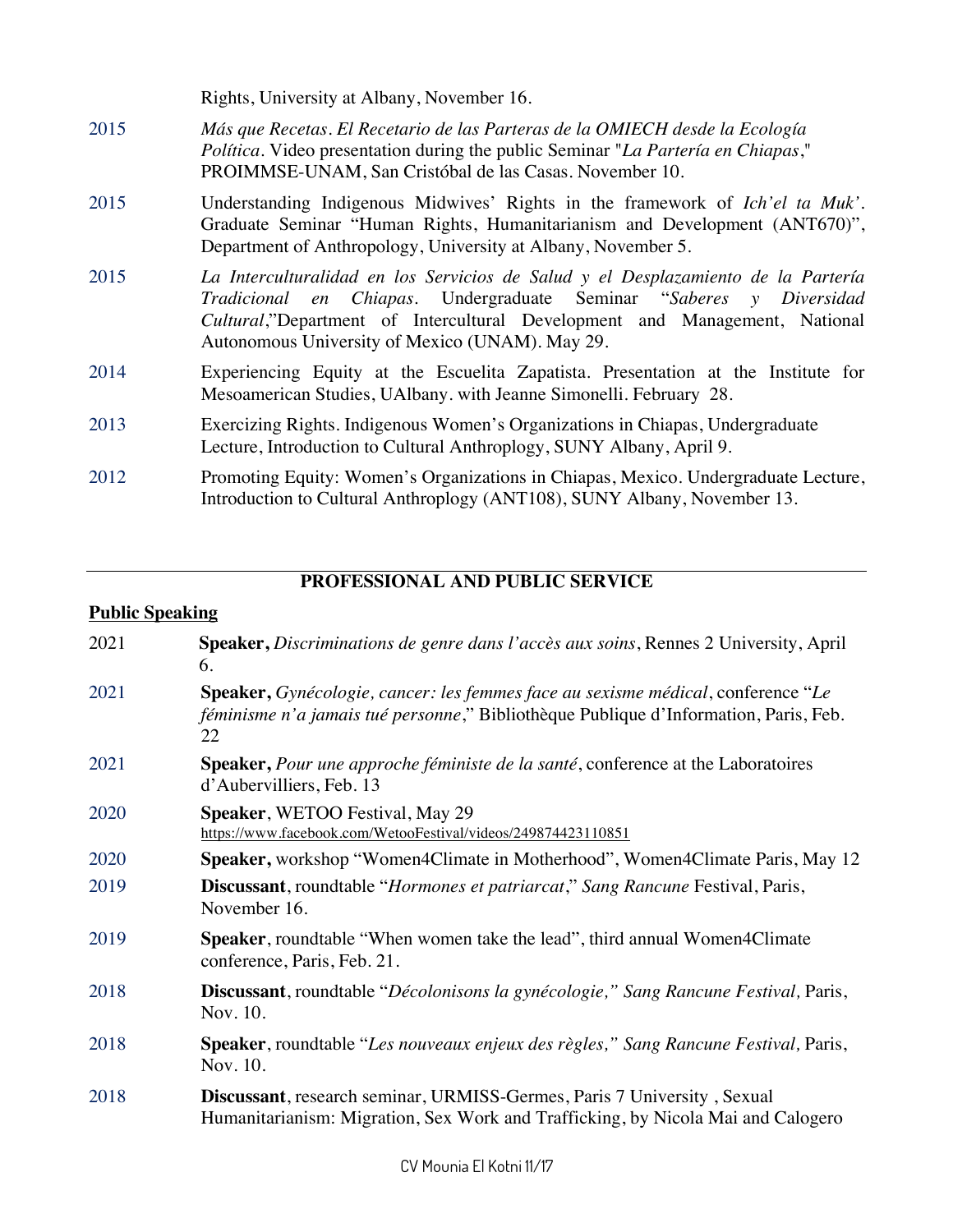|      | Rights, University at Albany, November 16.                                                                                                                                                                                                                                                |
|------|-------------------------------------------------------------------------------------------------------------------------------------------------------------------------------------------------------------------------------------------------------------------------------------------|
| 2015 | Más que Recetas. El Recetario de las Parteras de la OMIECH desde la Ecología<br>Política. Video presentation during the public Seminar "La Partería en Chiapas,"<br>PROIMMSE-UNAM, San Cristóbal de las Casas. November 10.                                                               |
| 2015 | Understanding Indigenous Midwives' Rights in the framework of Ich'el ta Muk'.<br>Graduate Seminar "Human Rights, Humanitarianism and Development (ANT670)",<br>Department of Anthropology, University at Albany, November 5.                                                              |
| 2015 | La Interculturalidad en los Servicios de Salud y el Desplazamiento de la Partería<br>Tradicional en Chiapas. Undergraduate Seminar "Saberes y Diversidad<br>Cultural,"Department of Intercultural Development and Management, National<br>Autonomous University of Mexico (UNAM). May 29. |
| 2014 | Experiencing Equity at the Escuelita Zapatista. Presentation at the Institute for<br>Mesoamerican Studies, UAlbany. with Jeanne Simonelli. February 28.                                                                                                                                   |
| 2013 | Exercizing Rights. Indigenous Women's Organizations in Chiapas, Undergraduate<br>Lecture, Introduction to Cultural Anthroplogy, SUNY Albany, April 9.                                                                                                                                     |
| 2012 | Promoting Equity: Women's Organizations in Chiapas, Mexico. Undergraduate Lecture,<br>Introduction to Cultural Anthroplogy (ANT108), SUNY Albany, November 13.                                                                                                                            |

## **PROFESSIONAL AND PUBLIC SERVICE**

| <b>Public Speaking</b> |                                                                                                                                                                                |  |
|------------------------|--------------------------------------------------------------------------------------------------------------------------------------------------------------------------------|--|
| 2021                   | <b>Speaker, Discriminations de genre dans l'accès aux soins, Rennes 2 University, April</b><br>6.                                                                              |  |
| 2021                   | Speaker, Gynécologie, cancer: les femmes face au sexisme médical, conference "Le<br>féminisme n'a jamais tué personne," Bibliothèque Publique d'Information, Paris, Feb.<br>22 |  |
| 2021                   | <b>Speaker, Pour une approche féministe de la santé, conference at the Laboratoires</b><br>d'Aubervilliers, Feb. 13                                                            |  |
| 2020                   | Speaker, WETOO Festival, May 29<br>https://www.facebook.com/WetooFestival/videos/249874423110851                                                                               |  |
| 2020                   | Speaker, workshop "Women4Climate in Motherhood", Women4Climate Paris, May 12                                                                                                   |  |
| 2019                   | Discussant, roundtable "Hormones et patriarcat," Sang Rancune Festival, Paris,<br>November 16.                                                                                 |  |
| 2019                   | Speaker, roundtable "When women take the lead", third annual Women4Climate<br>conference, Paris, Feb. 21.                                                                      |  |
| 2018                   | Discussant, roundtable "Décolonisons la gynécologie," Sang Rancune Festival, Paris,<br>Nov. 10.                                                                                |  |
| 2018                   | Speaker, roundtable "Les nouveaux enjeux des règles," Sang Rancune Festival, Paris,<br>Nov. 10.                                                                                |  |
| 2018                   | Discussant, research seminar, URMISS-Germes, Paris 7 University, Sexual<br>Humanitarianism: Migration, Sex Work and Trafficking, by Nicola Mai and Calogero                    |  |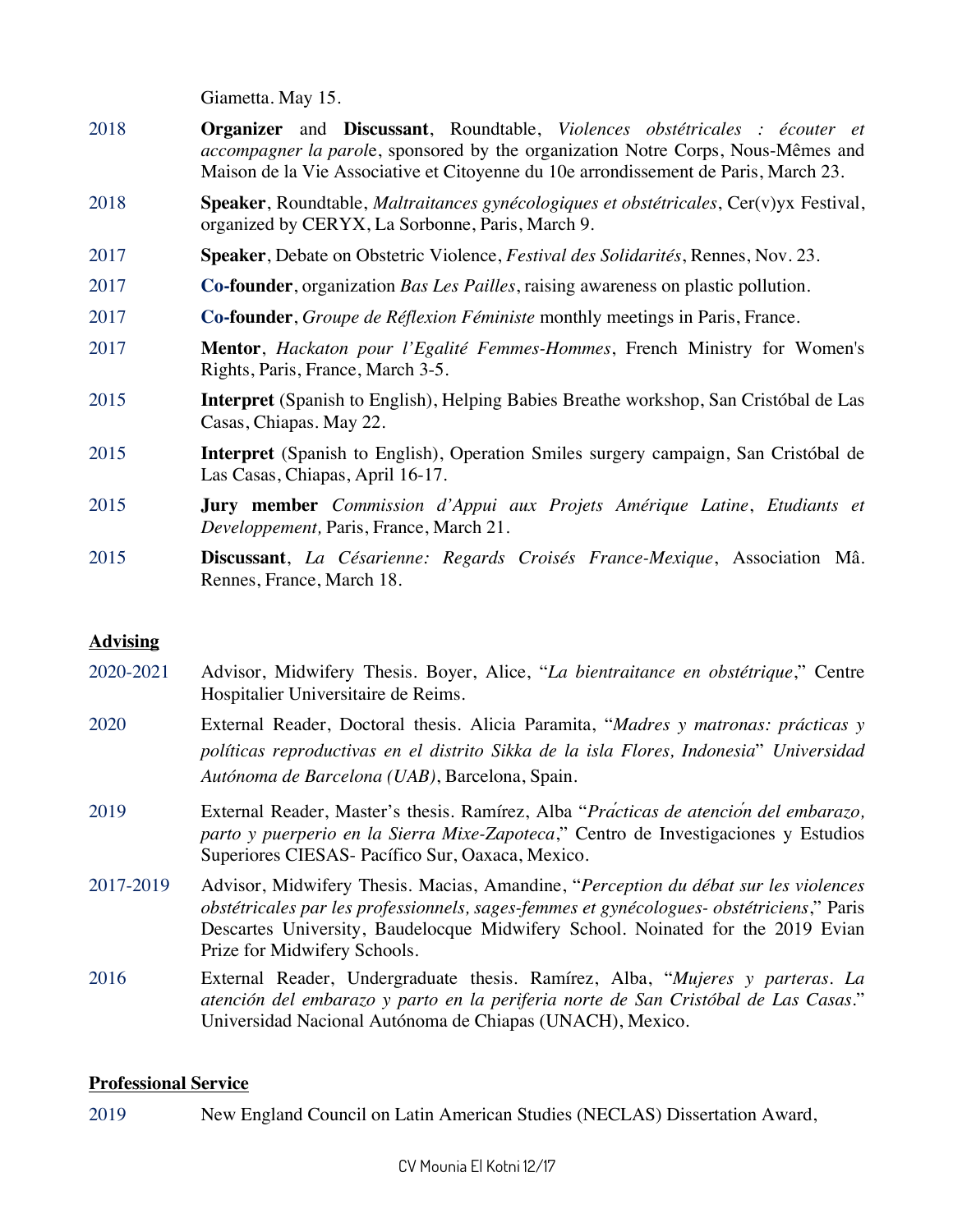Giametta. May 15.

- 2018 **Organizer** and **Discussant**, Roundtable, *Violences obstétricales : écouter et accompagner la parol*e, sponsored by the organization Notre Corps, Nous-Mêmes and Maison de la Vie Associative et Citoyenne du 10e arrondissement de Paris, March 23.
- 2018 **Speaker**, Roundtable, *Maltraitances gynécologiques et obstétricales*, Cer(v)yx Festival, organized by CERYX, La Sorbonne, Paris, March 9.
- 2017 **Speaker**, Debate on Obstetric Violence, *Festival des Solidarités*, Rennes, Nov. 23.
- 2017 **Co-founder**, organization *Bas Les Pailles*, raising awareness on plastic pollution.
- 2017 **Co-founder**, *Groupe de Réflexion Féministe* monthly meetings in Paris, France.
- 2017 **Mentor**, *Hackaton pour l'Egalité Femmes-Hommes*, French Ministry for Women's Rights, Paris, France, March 3-5.
- 2015 **Interpret** (Spanish to English), Helping Babies Breathe workshop, San Cristóbal de Las Casas, Chiapas. May 22.
- 2015 **Interpret** (Spanish to English), Operation Smiles surgery campaign, San Cristóbal de Las Casas, Chiapas, April 16-17.
- 2015 **Jury member** *Commission d'Appui aux Projets Amérique Latine*, *Etudiants et Developpement,* Paris, France, March 21.
- 2015 **Discussant**, *La Césarienne: Regards Croisés France-Mexique*, Association Mâ. Rennes, France, March 18.

#### **Advising**

- 2020-2021 Advisor, Midwifery Thesis. Boyer, Alice, "*La bientraitance en obstétrique*," Centre Hospitalier Universitaire de Reims.
- 2020 External Reader, Doctoral thesis. Alicia Paramita, "*Madres y matronas: prácticas y políticas reproductivas en el distrito Sikka de la isla Flores, Indonesia*" *Universidad Autónoma de Barcelona (UAB)*, Barcelona, Spain.
- 2019 External Reader, Master's thesis. Ramírez, Alba "*Prá cticas de atenció n del embarazo, parto y puerperio en la Sierra Mixe-Zapoteca*," Centro de Investigaciones y Estudios Superiores CIESAS- Pacífico Sur, Oaxaca, Mexico.
- 2017-2019 Advisor, Midwifery Thesis. Macias, Amandine, "*Perception du débat sur les violences obstétricales par les professionnels, sages-femmes et gynécologues- obstétriciens*," Paris Descartes University, Baudelocque Midwifery School. Noinated for the 2019 Evian Prize for Midwifery Schools.
- 2016 External Reader, Undergraduate thesis. Ramírez, Alba, "*Mujeres y parteras. La atención del embarazo y parto en la periferia norte de San Cristóbal de Las Casas*." Universidad Nacional Autónoma de Chiapas (UNACH), Mexico.

#### **Professional Service**

2019 New England Council on Latin American Studies (NECLAS) Dissertation Award,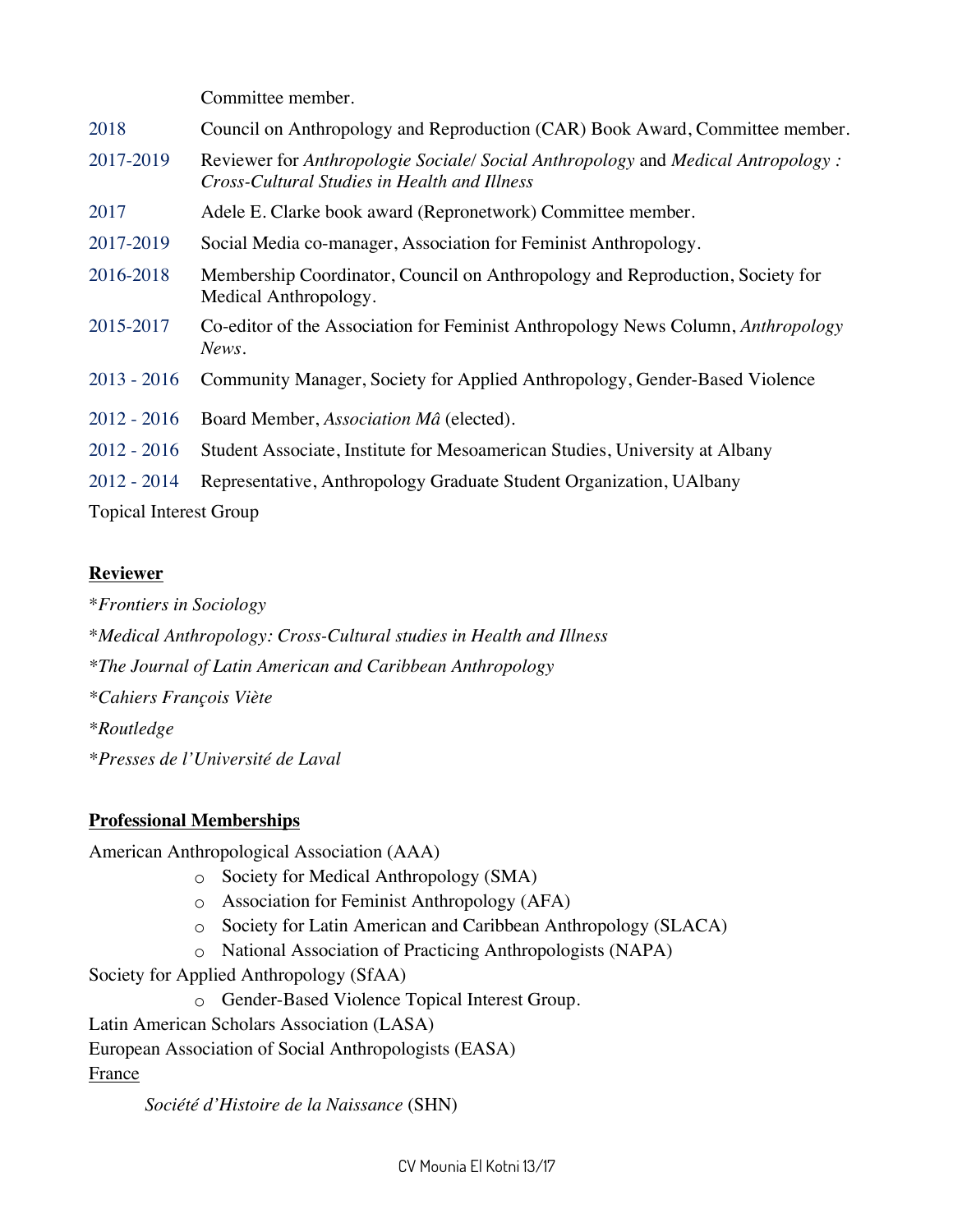|                      | Committee member.                                                                                                                 |
|----------------------|-----------------------------------------------------------------------------------------------------------------------------------|
| 2018                 | Council on Anthropology and Reproduction (CAR) Book Award, Committee member.                                                      |
| 2017-2019            | Reviewer for Anthropologie Sociale/ Social Anthropology and Medical Antropology :<br>Cross-Cultural Studies in Health and Illness |
| 2017                 | Adele E. Clarke book award (Repronetwork) Committee member.                                                                       |
| 2017-2019            | Social Media co-manager, Association for Feminist Anthropology.                                                                   |
| 2016-2018            | Membership Coordinator, Council on Anthropology and Reproduction, Society for<br>Medical Anthropology.                            |
| 2015-2017            | Co-editor of the Association for Feminist Anthropology News Column, Anthropology<br>News.                                         |
| $2013 - 2016$        | Community Manager, Society for Applied Anthropology, Gender-Based Violence                                                        |
| $2012 - 2016$        | Board Member, Association Mâ (elected).                                                                                           |
| $2012 - 2016$        | Student Associate, Institute for Mesoamerican Studies, University at Albany                                                       |
| $2012 - 2014$        | Representative, Anthropology Graduate Student Organization, UAIbany                                                               |
| $T \cdot 1$ $\ldots$ |                                                                                                                                   |

Topical Interest Group

## **Reviewer**

\**Frontiers in Sociology*

\**Medical Anthropology: Cross-Cultural studies in Health and Illness*

*\*The Journal of Latin American and Caribbean Anthropology*

*\*Cahiers François Viète*

*\*Routledge*

*\*Presses de l'Université de Laval*

## **Professional Memberships**

American Anthropological Association (AAA)

- o Society for Medical Anthropology (SMA)
- o Association for Feminist Anthropology (AFA)
- o Society for Latin American and Caribbean Anthropology (SLACA)
- o National Association of Practicing Anthropologists (NAPA)

Society for Applied Anthropology (SfAA)

o Gender-Based Violence Topical Interest Group.

Latin American Scholars Association (LASA)

European Association of Social Anthropologists (EASA)

## France

*Société d'Histoire de la Naissance* (SHN)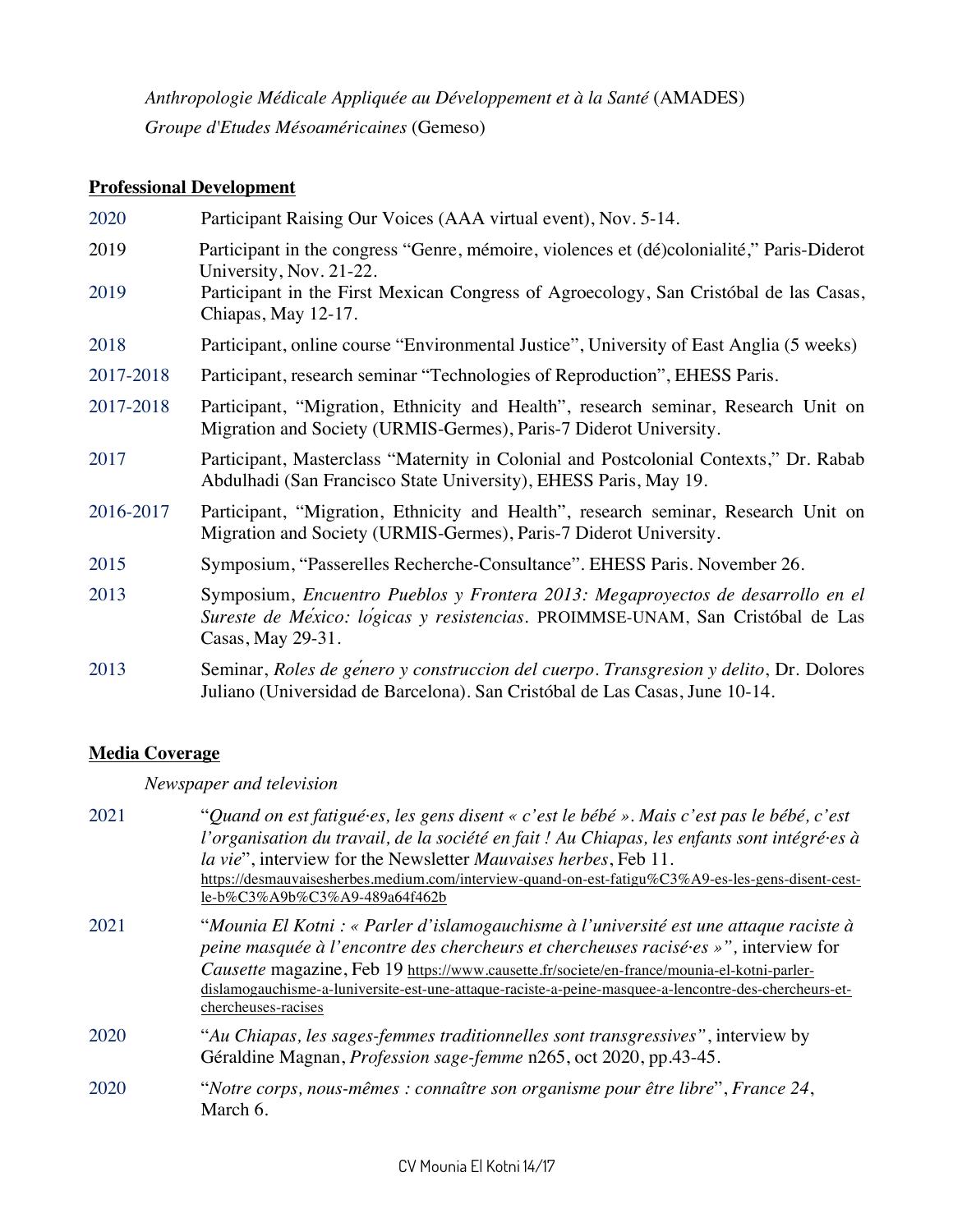*Anthropologie Médicale Appliquée au Développement et à la Santé* (AMADES) *Groupe d'Etudes Mésoaméricaines* (Gemeso)

### **Professional Development**

| 2020      | Participant Raising Our Voices (AAA virtual event), Nov. 5-14.                                                                                                                         |
|-----------|----------------------------------------------------------------------------------------------------------------------------------------------------------------------------------------|
| 2019      | Participant in the congress "Genre, mémoire, violences et (dé)colonialité," Paris-Diderot<br>University, Nov. 21-22.                                                                   |
| 2019      | Participant in the First Mexican Congress of Agroecology, San Cristóbal de las Casas,<br>Chiapas, May 12-17.                                                                           |
| 2018      | Participant, online course "Environmental Justice", University of East Anglia (5 weeks)                                                                                                |
| 2017-2018 | Participant, research seminar "Technologies of Reproduction", EHESS Paris.                                                                                                             |
| 2017-2018 | Participant, "Migration, Ethnicity and Health", research seminar, Research Unit on<br>Migration and Society (URMIS-Germes), Paris-7 Diderot University.                                |
| 2017      | Participant, Masterclass "Maternity in Colonial and Postcolonial Contexts," Dr. Rabab<br>Abdulhadi (San Francisco State University), EHESS Paris, May 19.                              |
| 2016-2017 | Participant, "Migration, Ethnicity and Health", research seminar, Research Unit on<br>Migration and Society (URMIS-Germes), Paris-7 Diderot University.                                |
| 2015      | Symposium, "Passerelles Recherche-Consultance". EHESS Paris. November 26.                                                                                                              |
| 2013      | Symposium, Encuentro Pueblos y Frontera 2013: Megaproyectos de desarrollo en el<br>Sureste de México: logicas y resistencias. PROIMMSE-UNAM, San Cristóbal de Las<br>Casas, May 29-31. |
| 2013      | Seminar, Roles de género y construccion del cuerpo. Transgresion y delito, Dr. Dolores<br>Juliano (Universidad de Barcelona). San Cristóbal de Las Casas, June 10-14.                  |

### **Media Coverage**

*Newspaper and television*

| 2021 | "Quand on est fatigué es, les gens disent « c'est le bébé ». Mais c'est pas le bébé, c'est<br>l'organisation du travail, de la société en fait ! Au Chiapas, les enfants sont intégré-es à<br>la vie", interview for the Newsletter Mauvaises herbes, Feb 11.<br>https://desmauvaisesherbes.medium.com/interview-quand-on-est-fatigu%C3%A9-es-les-gens-disent-cest-<br>le-b%C3%A9b%C3%A9-489a64f462b         |
|------|--------------------------------------------------------------------------------------------------------------------------------------------------------------------------------------------------------------------------------------------------------------------------------------------------------------------------------------------------------------------------------------------------------------|
| 2021 | "Mounia El Kotni : « Parler d'islamogauchisme à l'université est une attaque raciste à<br>peine masquée à l'encontre des chercheurs et chercheuses racisées »", interview for<br>Causette magazine, Feb 19 https://www.causette.fr/societe/en-france/mounia-el-kotni-parler-<br>dislamogauchisme-a-luniversite-est-une-attaque-raciste-a-peine-masquee-a-lencontre-des-chercheurs-et-<br>chercheuses-racises |
| 2020 | "Au Chiapas, les sages-femmes traditionnelles sont transgressives", interview by<br>Géraldine Magnan, <i>Profession sage-femme</i> n265, oct 2020, pp.43-45.                                                                                                                                                                                                                                                 |
| 2020 | "Notre corps, nous-mêmes : connaître son organisme pour être libre", France 24,<br>March 6.                                                                                                                                                                                                                                                                                                                  |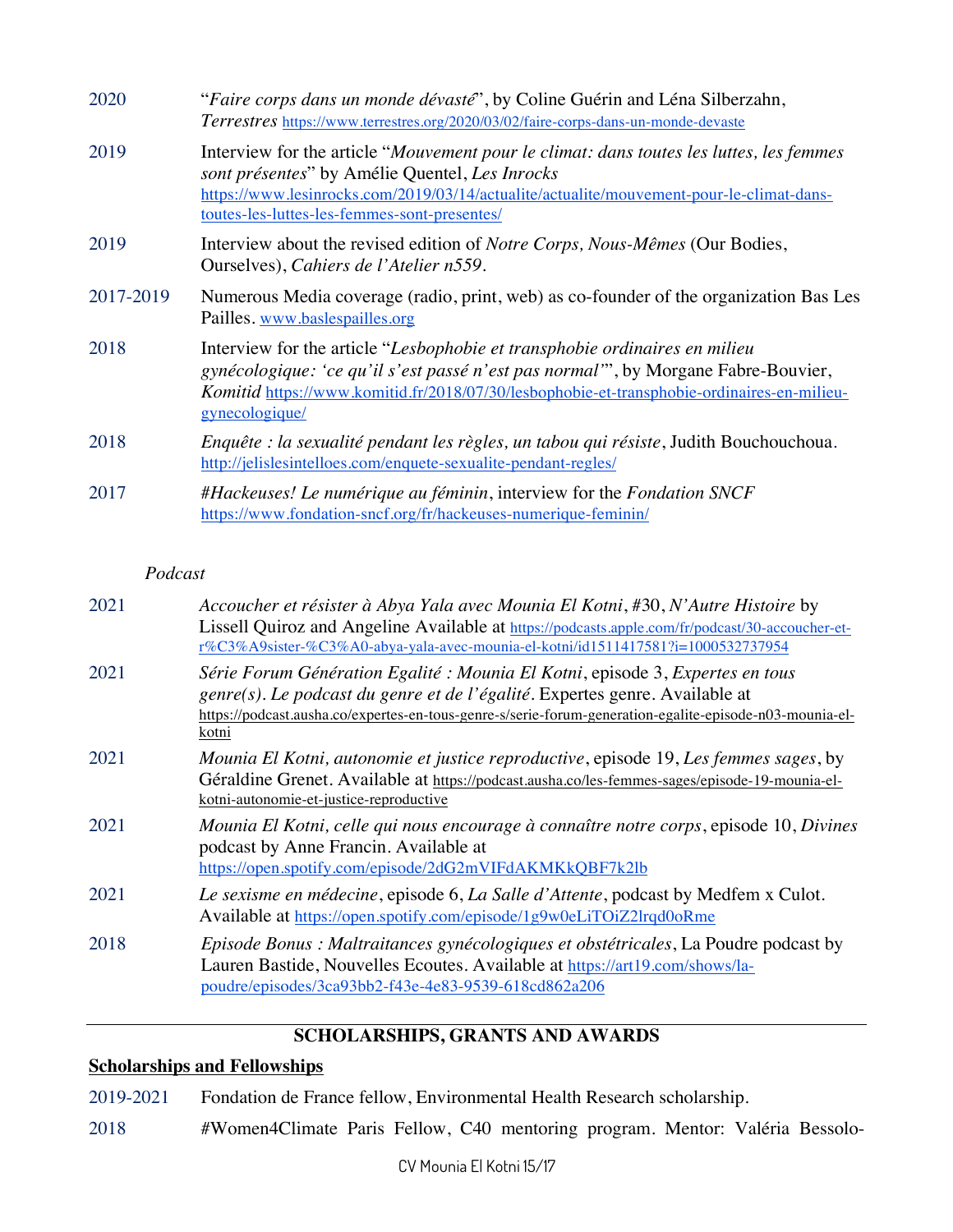| 2020      | "Faire corps dans un monde dévasté", by Coline Guérin and Léna Silberzahn,<br>Terrestres https://www.terrestres.org/2020/03/02/faire-corps-dans-un-monde-devaste                                                                                                                      |  |
|-----------|---------------------------------------------------------------------------------------------------------------------------------------------------------------------------------------------------------------------------------------------------------------------------------------|--|
| 2019      | Interview for the article "Mouvement pour le climat: dans toutes les luttes, les femmes<br>sont présentes" by Amélie Quentel, Les Inrocks<br>https://www.lesinrocks.com/2019/03/14/actualite/actualite/mouvement-pour-le-climat-dans-<br>toutes-les-luttes-les-femmes-sont-presentes/ |  |
| 2019      | Interview about the revised edition of <i>Notre Corps</i> , <i>Nous-Mêmes</i> (Our Bodies,<br>Ourselves), Cahiers de l'Atelier n559.                                                                                                                                                  |  |
| 2017-2019 | Numerous Media coverage (radio, print, web) as co-founder of the organization Bas Les<br>Pailles. www.baslespailles.org                                                                                                                                                               |  |
| 2018      | Interview for the article "Lesbophobie et transphobie ordinaires en milieu<br>gynécologique: 'ce qu'il s'est passé n'est pas normal", by Morgane Fabre-Bouvier,<br>Komitid https://www.komitid.fr/2018/07/30/lesbophobie-et-transphobie-ordinaires-en-milieu-<br>gynecologique/       |  |
| 2018      | Enquête : la sexualité pendant les règles, un tabou qui résiste, Judith Bouchouchoua.<br>http://jelislesintelloes.com/enquete-sexualite-pendant-regles/                                                                                                                               |  |
| 2017      | #Hackeuses! Le numérique au féminin, interview for the Fondation SNCF<br>https://www.fondation-sncf.org/fr/hackeuses-numerique-feminin/                                                                                                                                               |  |

#### *Podcast*

| 2021 | Accoucher et résister à Abya Yala avec Mounia El Kotni, #30, N'Autre Histoire by<br>Lissell Quiroz and Angeline Available at https://podcasts.apple.com/fr/podcast/30-accoucher-et-<br>r%C3%A9sister-%C3%A0-abya-yala-avec-mounia-el-kotni/id1511417581?i=1000532737954          |
|------|----------------------------------------------------------------------------------------------------------------------------------------------------------------------------------------------------------------------------------------------------------------------------------|
| 2021 | Série Forum Génération Egalité : Mounia El Kotni, episode 3, Expertes en tous<br>genre(s). Le podcast du genre et de l'égalité. Expertes genre. Available at<br>https://podcast.ausha.co/expertes-en-tous-genre-s/serie-forum-generation-egalite-episode-n03-mounia-el-<br>kotni |
| 2021 | Mounia El Kotni, autonomie et justice reproductive, episode 19, Les femmes sages, by<br>Géraldine Grenet. Available at https://podcast.ausha.co/les-femmes-sages/episode-19-mounia-el-<br>kotni-autonomie-et-justice-reproductive                                                |
| 2021 | Mounia El Kotni, celle qui nous encourage à connaître notre corps, episode 10, Divines<br>podcast by Anne Francin. Available at<br>https://open.spotify.com/episode/2dG2mVIFdAKMKkQBF7k2lb                                                                                       |
| 2021 | Le sexisme en médecine, episode 6, La Salle d'Attente, podcast by Medfem x Culot.<br>Available at https://open.spotify.com/episode/1g9w0eLiTOiZ2lrqd0oRme                                                                                                                        |
| 2018 | Episode Bonus : Maltraitances gynécologiques et obstétricales, La Poudre podcast by<br>Lauren Bastide, Nouvelles Ecoutes. Available at https://art19.com/shows/la-<br>poudre/episodes/3ca93bb2-f43e-4e83-9539-618cd862a206                                                       |
|      |                                                                                                                                                                                                                                                                                  |

## **SCHOLARSHIPS, GRANTS AND AWARDS**

## **Scholarships and Fellowships**

| 2019-2021 | Fondation de France fellow, Environmental Health Research scholarship. |
|-----------|------------------------------------------------------------------------|
|-----------|------------------------------------------------------------------------|

2018 #Women4Climate Paris Fellow, C40 mentoring program. Mentor: Valéria Bessolo-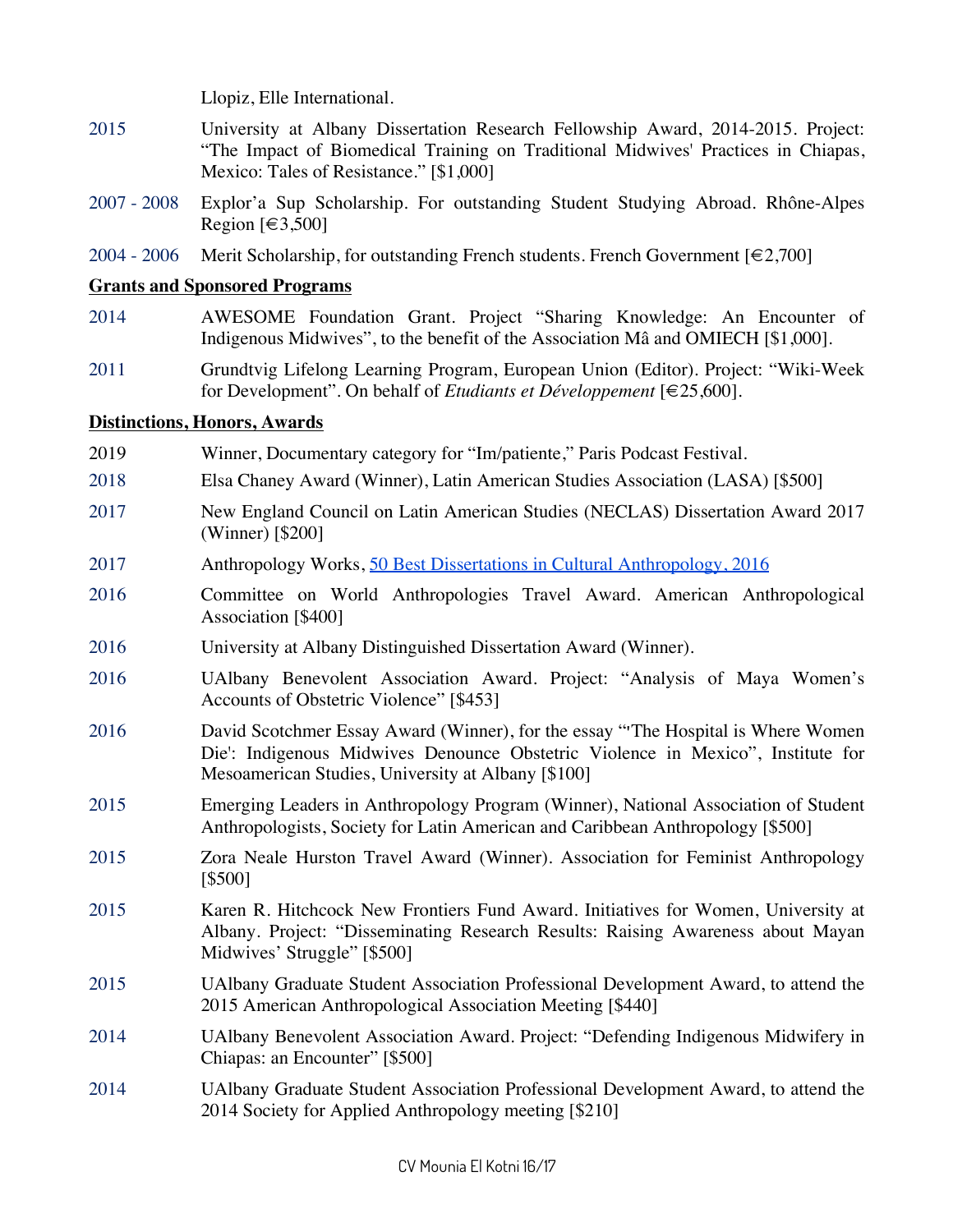Llopiz, Elle International.

- 2015 University at Albany Dissertation Research Fellowship Award, 2014-2015. Project: "The Impact of Biomedical Training on Traditional Midwives' Practices in Chiapas, Mexico: Tales of Resistance." [\$1,000]
- 2007 2008 Explor'a Sup Scholarship. For outstanding Student Studying Abroad. Rhône-Alpes Region  $\lbrack \in 3,500 \rbrack$
- 2004 2006 Merit Scholarship, for outstanding French students. French Government  $\lbrack \in 2,700 \rbrack$

#### **Grants and Sponsored Programs**

- 2014 AWESOME Foundation Grant. Project "Sharing Knowledge: An Encounter of Indigenous Midwives", to the benefit of the Association Mâ and OMIECH [\$1,000].
- 2011 Grundtvig Lifelong Learning Program, European Union (Editor). Project: "Wiki-Week for Development". On behalf of *Etudiants et Développement* [€25,600].

#### **Distinctions, Honors, Awards**

- 2019 Winner, Documentary category for "Im/patiente," Paris Podcast Festival.
- 2018 Elsa Chaney Award (Winner), Latin American Studies Association (LASA) [\$500]
- 2017 New England Council on Latin American Studies (NECLAS) Dissertation Award 2017 (Winner) [\$200]
- 2017 Anthropology Works, 50 Best Dissertations in Cultural Anthropology, 2016
- 2016 Committee on World Anthropologies Travel Award. American Anthropological Association [\$400]
- 2016 University at Albany Distinguished Dissertation Award (Winner).
- 2016 UAlbany Benevolent Association Award. Project: "Analysis of Maya Women's Accounts of Obstetric Violence" [\$453]
- 2016 David Scotchmer Essay Award (Winner), for the essay "'The Hospital is Where Women Die': Indigenous Midwives Denounce Obstetric Violence in Mexico", Institute for Mesoamerican Studies, University at Albany [\$100]
- 2015 Emerging Leaders in Anthropology Program (Winner), National Association of Student Anthropologists, Society for Latin American and Caribbean Anthropology [\$500]
- 2015 Zora Neale Hurston Travel Award (Winner). Association for Feminist Anthropology [\$500]
- 2015 Karen R. Hitchcock New Frontiers Fund Award. Initiatives for Women, University at Albany. Project: "Disseminating Research Results: Raising Awareness about Mayan Midwives' Struggle" [\$500]
- 2015 UAlbany Graduate Student Association Professional Development Award, to attend the 2015 American Anthropological Association Meeting [\$440]
- 2014 UAlbany Benevolent Association Award. Project: "Defending Indigenous Midwifery in Chiapas: an Encounter" [\$500]
- 2014 UAlbany Graduate Student Association Professional Development Award, to attend the 2014 Society for Applied Anthropology meeting [\$210]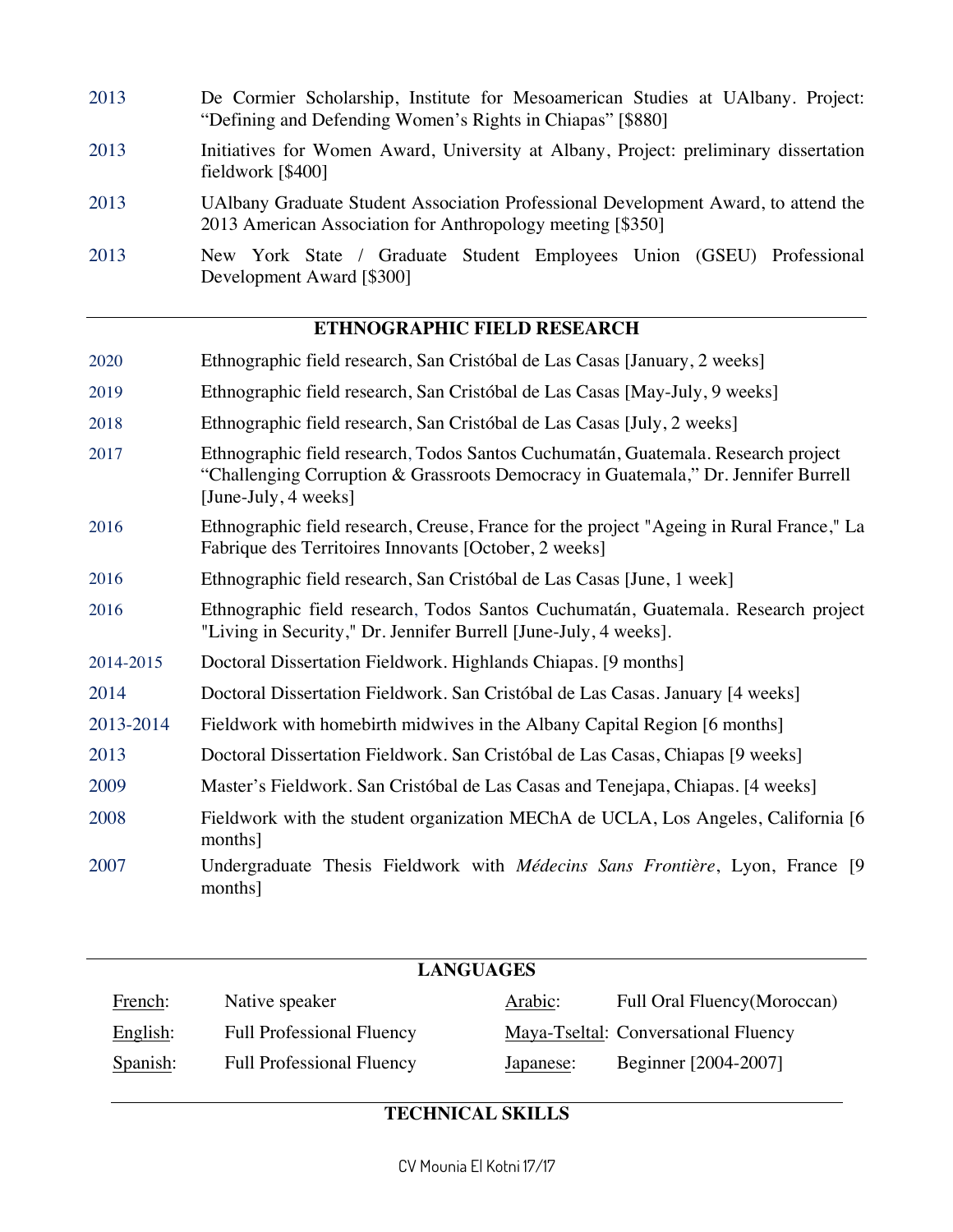- 2013 De Cormier Scholarship, Institute for Mesoamerican Studies at UAlbany. Project: "Defining and Defending Women's Rights in Chiapas" [\$880] 2013 Initiatives for Women Award, University at Albany, Project: preliminary dissertation fieldwork [\$400] 2013 UAlbany Graduate Student Association Professional Development Award, to attend the 2013 American Association for Anthropology meeting [\$350]
- 2013 New York State / Graduate Student Employees Union (GSEU) Professional Development Award [\$300]

### **ETHNOGRAPHIC FIELD RESEARCH**

- 2020 Ethnographic field research, San Cristóbal de Las Casas [January, 2 weeks]
- 2019 Ethnographic field research, San Cristóbal de Las Casas [May-July, 9 weeks]
- 2018 Ethnographic field research, San Cristóbal de Las Casas [July, 2 weeks]
- 2017 Ethnographic field research, Todos Santos Cuchumatán, Guatemala. Research project "Challenging Corruption & Grassroots Democracy in Guatemala," Dr. Jennifer Burrell [June-July, 4 weeks]
- 2016 Ethnographic field research, Creuse, France for the project "Ageing in Rural France," La Fabrique des Territoires Innovants [October, 2 weeks]
- 2016 Ethnographic field research, San Cristóbal de Las Casas [June, 1 week]
- 2016 Ethnographic field research, Todos Santos Cuchumatán, Guatemala. Research project "Living in Security," Dr. Jennifer Burrell [June-July, 4 weeks].
- 2014-2015 Doctoral Dissertation Fieldwork. Highlands Chiapas. [9 months]
- 2014 Doctoral Dissertation Fieldwork. San Cristóbal de Las Casas. January [4 weeks]
- 2013-2014 Fieldwork with homebirth midwives in the Albany Capital Region [6 months]
- 2013 Doctoral Dissertation Fieldwork. San Cristóbal de Las Casas, Chiapas [9 weeks]
- 2009 Master's Fieldwork. San Cristóbal de Las Casas and Tenejapa, Chiapas. [4 weeks]
- 2008 Fieldwork with the student organization MEChA de UCLA, Los Angeles, California [6 months]
- 2007 Undergraduate Thesis Fieldwork with *Médecins Sans Frontière*, Lyon, France [9 months]

| <b>LANGUAGES</b> |                                  |           |                                      |  |  |
|------------------|----------------------------------|-----------|--------------------------------------|--|--|
| French:          | Native speaker                   | Arabic:   | Full Oral Fluency (Moroccan)         |  |  |
| English:         | <b>Full Professional Fluency</b> |           | Maya-Tseltal: Conversational Fluency |  |  |
| Spanish:         | <b>Full Professional Fluency</b> | Japanese: | Beginner [2004-2007]                 |  |  |

### **TECHNICAL SKILLS**